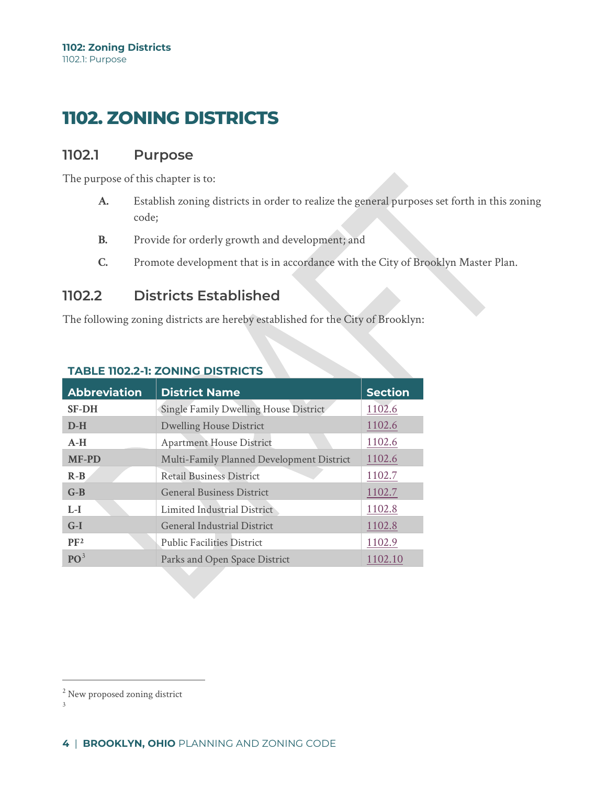# **1102. ZONING DISTRICTS**

## **1102.1 Purpose**

The purpose of this chapter is to:

- **A.** Establish zoning districts in order to realize the general purposes set forth in this zoning code;
- **B.** Provide for orderly growth and development; and
- **C.** Promote development that is in accordance with the City of Brooklyn Master Plan.

## **1102.2 Districts Established**

The following zoning districts are hereby established for the City of Brooklyn:

| <b>Abbreviation</b> | <b>District Name</b>                      | <b>Section</b> |
|---------------------|-------------------------------------------|----------------|
| <b>SF-DH</b>        | Single Family Dwelling House District     | 1102.6         |
| $D-H$               | <b>Dwelling House District</b>            | 1102.6         |
| $A-H$               | <b>Apartment House District</b>           | 1102.6         |
| <b>MF-PD</b>        | Multi-Family Planned Development District | 1102.6         |
| $R - B$             | <b>Retail Business District</b>           | 1102.7         |
| $G-B$               | <b>General Business District</b>          | 1102.7         |
| $L-I$               | Limited Industrial District               | 1102.8         |
| $G-I$               | <b>General Industrial District</b>        | 1102.8         |
| PF <sub>2</sub>     | <b>Public Facilities District</b>         | 1102.9         |
| PQ <sup>3</sup>     | Parks and Open Space District             | 1102.10        |

### **TABLE 1102.2-1: ZONING DISTRICTS**

<sup>&</sup>lt;sup>2</sup> New proposed zoning district

<span id="page-0-1"></span><span id="page-0-0"></span><sup>3</sup>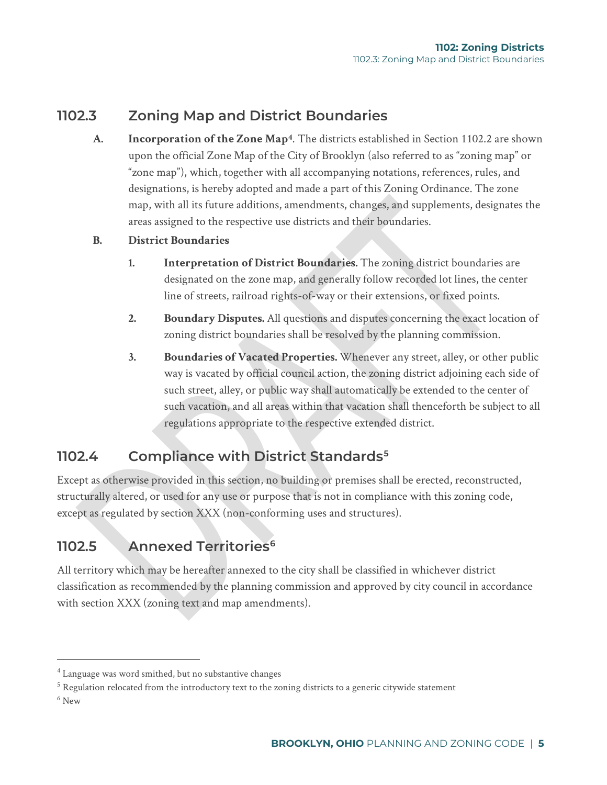## **1102.3 Zoning Map and District Boundaries**

- **A. Incorporation of the Zone Map[4](#page-1-0)**. The districts established in Section 1102.2 are shown upon the official Zone Map of the City of Brooklyn (also referred to as "zoning map" or "zone map"), which, together with all accompanying notations, references, rules, and designations, is hereby adopted and made a part of this Zoning Ordinance. The zone map, with all its future additions, amendments, changes, and supplements, designates the areas assigned to the respective use districts and their boundaries.
- **B. District Boundaries**
	- **1. Interpretation of District Boundaries.** The zoning district boundaries are designated on the zone map, and generally follow recorded lot lines, the center line of streets, railroad rights-of-way or their extensions, or fixed points.
	- **2. Boundary Disputes.** All questions and disputes concerning the exact location of zoning district boundaries shall be resolved by the planning commission.
	- **3. Boundaries of Vacated Properties.** Whenever any street, alley, or other public way is vacated by official council action, the zoning district adjoining each side of such street, alley, or public way shall automatically be extended to the center of such vacation, and all areas within that vacation shall thenceforth be subject to all regulations appropriate to the respective extended district.

## **1102.4 Compliance with District Standards[5](#page-1-1)**

Except as otherwise provided in this section, no building or premises shall be erected, reconstructed, structurally altered, or used for any use or purpose that is not in compliance with this zoning code, except as regulated by section XXX (non-conforming uses and structures).

# **1102.5 Annexed Territories[6](#page-1-2)**

All territory which may be hereafter annexed to the city shall be classified in whichever district classification as recommended by the planning commission and approved by city council in accordance with section XXX (zoning text and map amendments).

<span id="page-1-2"></span> $6$  New

<span id="page-1-0"></span><sup>4</sup> Language was word smithed, but no substantive changes

<span id="page-1-1"></span><sup>&</sup>lt;sup>5</sup> Regulation relocated from the introductory text to the zoning districts to a generic citywide statement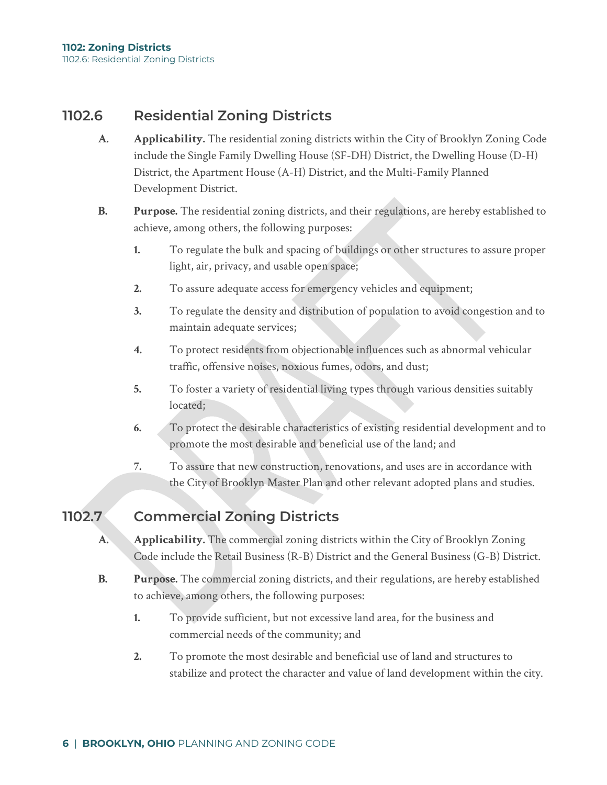## **1102.6 Residential Zoning Districts**

- **A. Applicability.** The residential zoning districts within the City of Brooklyn Zoning Code include the Single Family Dwelling House (SF-DH) District, the Dwelling House (D-H) District, the Apartment House (A-H) District, and the Multi-Family Planned Development District.
- **B. Purpose.** The residential zoning districts, and their regulations, are hereby established to achieve, among others, the following purposes:
	- **1.** To regulate the bulk and spacing of buildings or other structures to assure proper light, air, privacy, and usable open space;
	- **2.** To assure adequate access for emergency vehicles and equipment;
	- **3.** To regulate the density and distribution of population to avoid congestion and to maintain adequate services;
	- **4.** To protect residents from objectionable influences such as abnormal vehicular traffic, offensive noises, noxious fumes, odors, and dust;
	- **5.** To foster a variety of residential living types through various densities suitably located;
	- **6.** To protect the desirable characteristics of existing residential development and to promote the most desirable and beneficial use of the land; and
	- **7.** To assure that new construction, renovations, and uses are in accordance with the City of Brooklyn Master Plan and other relevant adopted plans and studies.

## **1102.7 Commercial Zoning Districts**

- **A. Applicability.** The commercial zoning districts within the City of Brooklyn Zoning Code include the Retail Business (R-B) District and the General Business (G-B) District.
- **B. Purpose.** The commercial zoning districts, and their regulations, are hereby established to achieve, among others, the following purposes:
	- **1.** To provide sufficient, but not excessive land area, for the business and commercial needs of the community; and
	- **2.** To promote the most desirable and beneficial use of land and structures to stabilize and protect the character and value of land development within the city.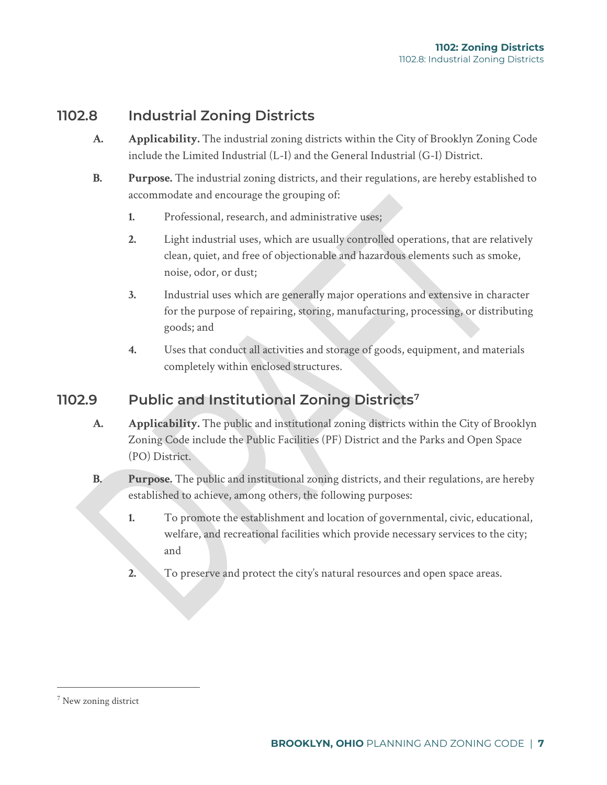## **1102.8 Industrial Zoning Districts**

- **A. Applicability.** The industrial zoning districts within the City of Brooklyn Zoning Code include the Limited Industrial (L-I) and the General Industrial (G-I) District.
- **B. Purpose.** The industrial zoning districts, and their regulations, are hereby established to accommodate and encourage the grouping of:
	- **1.** Professional, research, and administrative uses;
	- **2.** Light industrial uses, which are usually controlled operations, that are relatively clean, quiet, and free of objectionable and hazardous elements such as smoke, noise, odor, or dust;
	- **3.** Industrial uses which are generally major operations and extensive in character for the purpose of repairing, storing, manufacturing, processing, or distributing goods; and
	- **4.** Uses that conduct all activities and storage of goods, equipment, and materials completely within enclosed structures.

## **1102.9 Public and Institutional Zoning Districts[7](#page-3-0)**

- **A. Applicability.** The public and institutional zoning districts within the City of Brooklyn Zoning Code include the Public Facilities (PF) District and the Parks and Open Space (PO) District.
- **B. Purpose.** The public and institutional zoning districts, and their regulations, are hereby established to achieve, among others, the following purposes:
	- **1.** To promote the establishment and location of governmental, civic, educational, welfare, and recreational facilities which provide necessary services to the city; and
	- **2.** To preserve and protect the city's natural resources and open space areas.

<span id="page-3-0"></span><sup>7</sup> New zoning district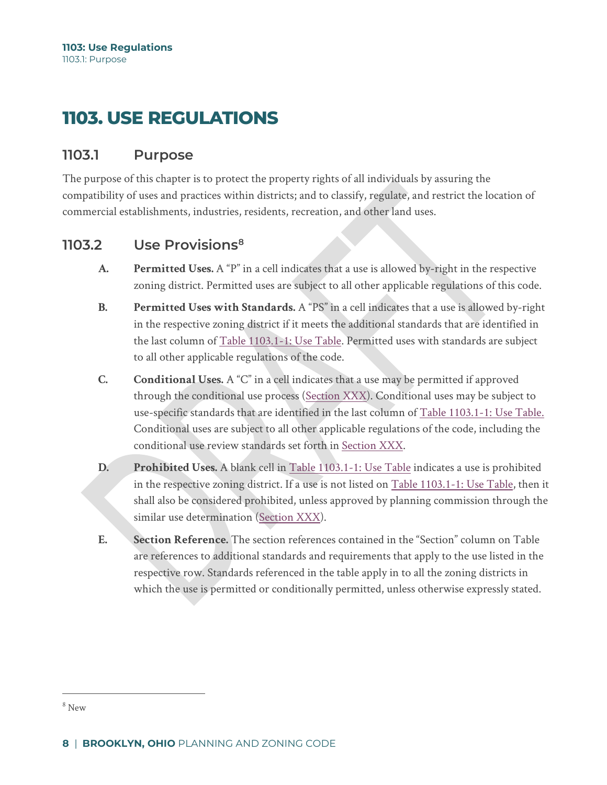# **1103. USE REGULATIONS**

## **1103.1 Purpose**

The purpose of this chapter is to protect the property rights of all individuals by assuring the compatibility of uses and practices within districts; and to classify, regulate, and restrict the location of commercial establishments, industries, residents, recreation, and other land uses.

## **1103.2 Use Provisions[8](#page-4-0)**

- **A. Permitted Uses.** A "P" in a cell indicates that a use is allowed by-right in the respective zoning district. Permitted uses are subject to all other applicable regulations of this code.
- **B. Permitted Uses with Standards.** A "PS" in a cell indicates that a use is allowed by-right in the respective zoning district if it meets the additional standards that are identified in the last column of Table 1103.1-1: Use Table. Permitted uses with standards are subject to all other applicable regulations of the code.
- **C. Conditional Uses.** A "C" in a cell indicates that a use may be permitted if approved through the conditional use process (Section XXX). Conditional uses may be subject to use-specific standards that are identified in the last column of Table 1103.1-1: Use Table. Conditional uses are subject to all other applicable regulations of the code, including the conditional use review standards set forth in Section XXX.
- **D. Prohibited Uses.** A blank cell in Table 1103.1-1: Use Table indicates a use is prohibited in the respective zoning district. If a use is not listed on Table 1103.1-1: Use Table, then it shall also be considered prohibited, unless approved by planning commission through the similar use determination (Section XXX).
- **E. Section Reference.** The section references contained in the "Section" column on Table are references to additional standards and requirements that apply to the use listed in the respective row. Standards referenced in the table apply in to all the zoning districts in which the use is permitted or conditionally permitted, unless otherwise expressly stated.

<span id="page-4-0"></span><sup>8</sup> New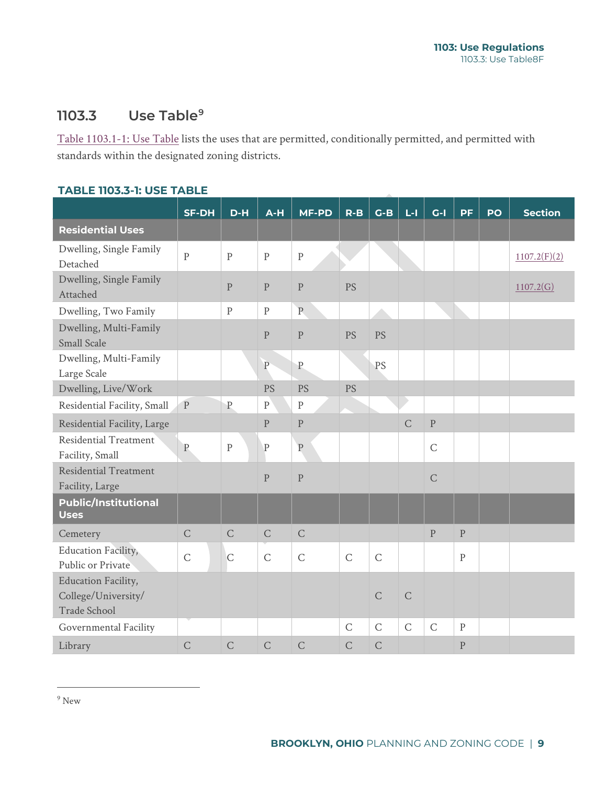## **1103.3 Use Table[9](#page-5-0)**

Table 1103.1-1: Use Table lists the uses that are permitted, conditionally permitted, and permitted with standards within the designated zoning districts.

|                                                            | <b>SF-DH</b>   | $D-H$          | $A-H$              | <b>MF-PD</b>   | $R - B$        | $G-B$          | $L - I$        | $G-I$          | <b>PF</b>    | PO | <b>Section</b> |
|------------------------------------------------------------|----------------|----------------|--------------------|----------------|----------------|----------------|----------------|----------------|--------------|----|----------------|
| <b>Residential Uses</b>                                    |                |                |                    |                |                |                |                |                |              |    |                |
| Dwelling, Single Family<br>Detached                        | $\overline{P}$ | $\mathbf{P}$   | $\overline{P}$     | $\mathbf{P}$   |                |                |                |                |              |    | 1107.2(F)(2)   |
| Dwelling, Single Family<br>Attached                        |                | $\mathbf{P}$   | $\mathbf{P}$       | $\mathbf{P}$   | <b>PS</b>      |                |                |                |              |    | 1107.2(G)      |
| Dwelling, Two Family                                       |                | ${\bf P}$      | $\mathbf{P}$       | $\overline{P}$ |                |                |                |                |              |    |                |
| Dwelling, Multi-Family<br><b>Small Scale</b>               |                |                | ${\bf P}$          | $\mathbf{P}$   | PS             | PS             |                |                |              |    |                |
| Dwelling, Multi-Family<br>Large Scale                      |                |                | $\rm P$            | $\mathbf{P}$   |                | PS             |                |                |              |    |                |
| Dwelling, Live/Work                                        |                |                | <b>PS</b>          | <b>PS</b>      | <b>PS</b>      |                |                |                |              |    |                |
| Residential Facility, Small                                | $\mathbf P$    | $\mathbf P$    | ${\bf P}$          | $\, {\bf p}$   |                |                |                |                |              |    |                |
| Residential Facility, Large                                |                |                | $\mathbf{P}% _{0}$ | $\mathbf{P}$   |                |                | $\overline{C}$ | $\mathbf P$    |              |    |                |
| Residential Treatment<br>Facility, Small                   | $\overline{P}$ | ${\bf P}$      | $\mathbf P$        | ${\bf P}$      |                |                |                | $\mathsf{C}$   |              |    |                |
| <b>Residential Treatment</b><br>Facility, Large            |                |                | $\mathbf{P}$       | $\mathbf{P}$   |                |                |                | $\overline{C}$ |              |    |                |
| <b>Public/Institutional</b><br><b>Uses</b>                 |                |                |                    |                |                |                |                |                |              |    |                |
| Cemetery                                                   | $\mathsf{C}$   | $\mathsf{C}$   | $\mathsf C$        | $\mathsf{C}$   |                |                |                | $\mathbf{P}$   | $\mathbf{P}$ |    |                |
| Education Facility,<br>Public or Private                   | $\mathsf C$    | $\mathsf{C}$   | $\mathsf C$        | $\mathsf{C}$   | $\overline{C}$ | $\overline{C}$ |                |                | $\mathbf{P}$ |    |                |
| Education Facility,<br>College/University/<br>Trade School |                |                |                    |                |                | $\overline{C}$ | $\mathsf{C}$   |                |              |    |                |
| Governmental Facility                                      |                |                |                    |                | $\overline{C}$ | $\mathsf C$    | $\mathsf{C}$   | $\mathsf{C}$   | $\, {\bf p}$ |    |                |
| Library                                                    | $\overline{C}$ | $\overline{C}$ | $\overline{C}$     | $\overline{C}$ | $\overline{C}$ | $\overline{C}$ |                |                | $\mathbf{P}$ |    |                |

<span id="page-5-0"></span> $^9$  New  $\,$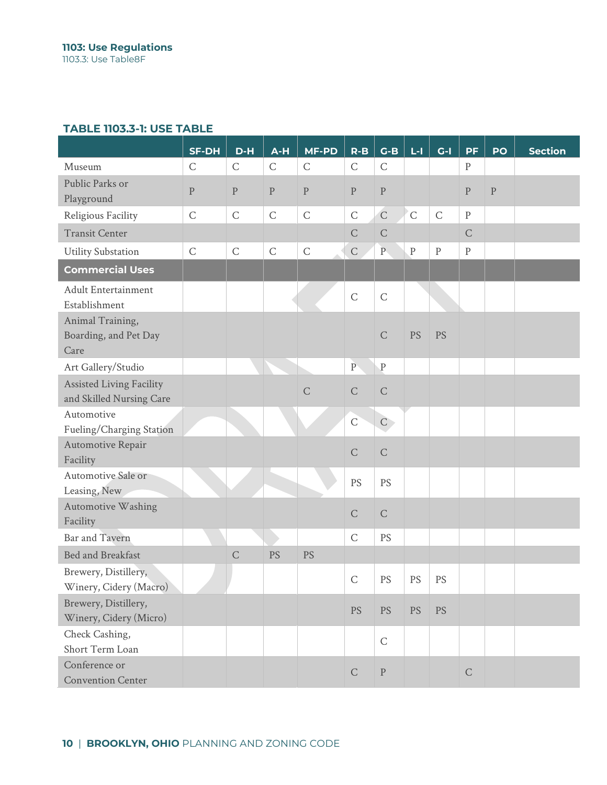|                                                             | <b>SF-DH</b> | D-H          | $A-H$       | <b>MF-PD</b> | $R - B$      | $G-B$                   | $L - 1$      | $G-I$       | <b>PF</b>    | PO           | <b>Section</b> |
|-------------------------------------------------------------|--------------|--------------|-------------|--------------|--------------|-------------------------|--------------|-------------|--------------|--------------|----------------|
| Museum                                                      | $\mathsf C$  | $\mathsf C$  | $\mathsf C$ | $\mathsf{C}$ | $\mathsf C$  | $\mathsf{C}$            |              |             | $\rm P$      |              |                |
| Public Parks or<br>Playground                               | $\, {\bf p}$ | ${\bf P}$    | $\mathbf P$ | $\mathbf{P}$ | $\, {\bf p}$ | $\, {\bf P}$            |              |             | ${\bf P}$    | $\mathbf{P}$ |                |
| Religious Facility                                          | $\mathsf{C}$ | $\mathsf C$  | $\mathsf C$ | $\mathsf C$  | $\mathsf C$  | $\mathsf{C}$            | $\mathsf{C}$ | $\mathsf C$ | $\, {\bf p}$ |              |                |
| <b>Transit Center</b>                                       |              |              |             |              | $\mathsf C$  | $\mathsf{C}$            |              |             | $\mathsf C$  |              |                |
| <b>Utility Substation</b>                                   | $\mathsf{C}$ | $\mathsf{C}$ | $\mathsf C$ | $\mathsf C$  | $\mathsf{C}$ | $\overline{\mathbf{P}}$ | $\, {\bf P}$ | ${\bf P}$   | $\rm P$      |              |                |
| <b>Commercial Uses</b>                                      |              |              |             |              |              |                         |              |             |              |              |                |
| <b>Adult Entertainment</b><br>Establishment                 |              |              |             |              | $\mathsf C$  | $\mathsf{C}$            |              |             |              |              |                |
| Animal Training,<br>Boarding, and Pet Day<br>Care           |              |              |             |              |              | $\mathsf{C}$            | <b>PS</b>    | <b>PS</b>   |              |              |                |
| Art Gallery/Studio                                          |              |              |             |              | $\rm P$      | $\, {\bf P}$            |              |             |              |              |                |
| <b>Assisted Living Facility</b><br>and Skilled Nursing Care |              |              |             | $\mathsf C$  | $\mathsf C$  | $\mathsf C$             |              |             |              |              |                |
| Automotive<br>Fueling/Charging Station                      |              |              |             |              | $\mathsf C$  | $\mathsf{C}$            |              |             |              |              |                |
| Automotive Repair<br>Facility                               |              |              |             |              | $\mathsf C$  | $\mathsf{C}$            |              |             |              |              |                |
| Automotive Sale or<br>Leasing, New                          |              |              |             |              | PS           | PS                      |              |             |              |              |                |
| Automotive Washing<br>Facility                              |              |              |             |              | $\mathsf C$  | $\mathsf{C}$            |              |             |              |              |                |
| <b>Bar and Tavern</b>                                       |              |              |             |              | $\mathsf C$  | PS                      |              |             |              |              |                |
| Bed and Breakfast                                           |              | $\mathsf C$  | PS          | <b>PS</b>    |              |                         |              |             |              |              |                |
| Brewery, Distillery,<br>Winery, Cidery (Macro)              |              |              |             |              | $\mathsf{C}$ | PS                      | PS           | PS          |              |              |                |
| Brewery, Distillery,<br>Winery, Cidery (Micro)              |              |              |             |              | <b>PS</b>    | <b>PS</b>               | <b>PS</b>    | <b>PS</b>   |              |              |                |
| Check Cashing,<br>Short Term Loan                           |              |              |             |              |              | $\mathsf C$             |              |             |              |              |                |
| Conference or<br><b>Convention Center</b>                   |              |              |             |              | $\mathsf C$  | $\rm P$                 |              |             | $\mathsf C$  |              |                |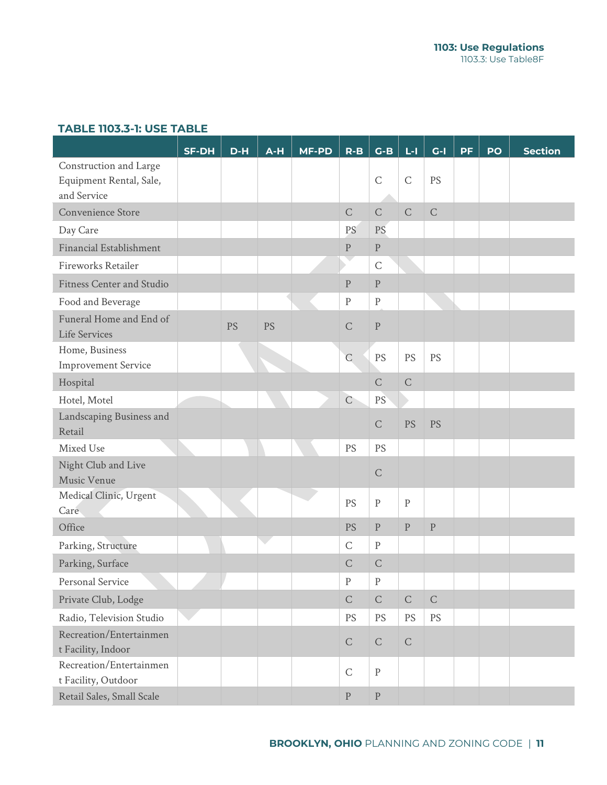|                                               | <b>SF-DH</b> | $D-H$ | $A-H$ | <b>MF-PD</b> | $R - B$            | $G-B$        | $L - 1$                | $G-I$                  | <b>PF</b> | PO | <b>Section</b> |
|-----------------------------------------------|--------------|-------|-------|--------------|--------------------|--------------|------------------------|------------------------|-----------|----|----------------|
| Construction and Large                        |              |       |       |              |                    |              |                        |                        |           |    |                |
| Equipment Rental, Sale,                       |              |       |       |              |                    | $\mathsf C$  | $\mathsf C$            | PS                     |           |    |                |
| and Service                                   |              |       |       |              |                    |              |                        |                        |           |    |                |
| Convenience Store                             |              |       |       |              | $\mathsf C$        | $\mathsf C$  | $\mathsf C$            | $\mathsf C$            |           |    |                |
| Day Care                                      |              |       |       |              | <b>PS</b>          | PS           |                        |                        |           |    |                |
| Financial Establishment                       |              |       |       |              | ${\bf P}$          | ${\bf P}$    |                        |                        |           |    |                |
| Fireworks Retailer                            |              |       |       |              |                    | $\mathsf C$  |                        |                        |           |    |                |
| <b>Fitness Center and Studio</b>              |              |       |       |              | $\rm P$            | $\rm P$      |                        |                        |           |    |                |
| Food and Beverage                             |              |       |       |              | ${\bf P}$          | $\rm P$      |                        |                        |           |    |                |
| Funeral Home and End of<br>Life Services      |              | PS    | PS    |              | $\mathsf C$        | ${\bf P}$    |                        |                        |           |    |                |
| Home, Business<br><b>Improvement Service</b>  |              |       |       |              | $\overline{C}$     | PS           | PS                     | PS                     |           |    |                |
| Hospital                                      |              |       |       |              |                    | $\mathsf{C}$ | $\mathsf C$            |                        |           |    |                |
| Hotel, Motel                                  |              |       |       |              | $\mathsf C$        | PS           |                        |                        |           |    |                |
| Landscaping Business and                      |              |       |       |              |                    |              |                        |                        |           |    |                |
| Retail                                        |              |       |       |              |                    | $\mathsf C$  | PS                     | PS                     |           |    |                |
| Mixed Use                                     |              |       |       |              | PS                 | PS           |                        |                        |           |    |                |
| Night Club and Live                           |              |       |       |              |                    | $\mathsf C$  |                        |                        |           |    |                |
| Music Venue                                   |              |       |       |              |                    |              |                        |                        |           |    |                |
| Medical Clinic, Urgent                        |              |       |       |              | PS                 | $\rm P$      | ${\bf P}$              |                        |           |    |                |
| Care<br>Office                                |              |       |       |              | PS                 | $\rm P$      | ${\bf P}$              | $\mathbf{P}$           |           |    |                |
|                                               |              |       |       |              | $\mathsf C$        | $\rm P$      |                        |                        |           |    |                |
| Parking, Structure                            |              |       |       |              |                    |              |                        |                        |           |    |                |
| Parking, Surface                              |              |       |       |              | $\mathsf C$        | $\mathsf C$  |                        |                        |           |    |                |
| Personal Service                              |              |       |       |              | ${\bf P}$          | $\rm P$      |                        |                        |           |    |                |
| Private Club, Lodge                           |              |       |       |              | ${\bf C}$          | $\mathsf C$  | $\mathsf C$            | $\mathsf C$            |           |    |                |
| Radio, Television Studio                      |              |       |       |              | PS                 | PS           | $\mathop{\mathrm{PS}}$ | $\mathop{\mathrm{PS}}$ |           |    |                |
| Recreation/Entertainmen<br>t Facility, Indoor |              |       |       |              | ${\bf C}$          | $\mathsf C$  | $\mathsf C$            |                        |           |    |                |
| Recreation/Entertainmen                       |              |       |       |              |                    |              |                        |                        |           |    |                |
| t Facility, Outdoor                           |              |       |       |              | $\mathsf C$        | $\rm P$      |                        |                        |           |    |                |
| Retail Sales, Small Scale                     |              |       |       |              | $\mathbf{P}% _{0}$ | $\rm P$      |                        |                        |           |    |                |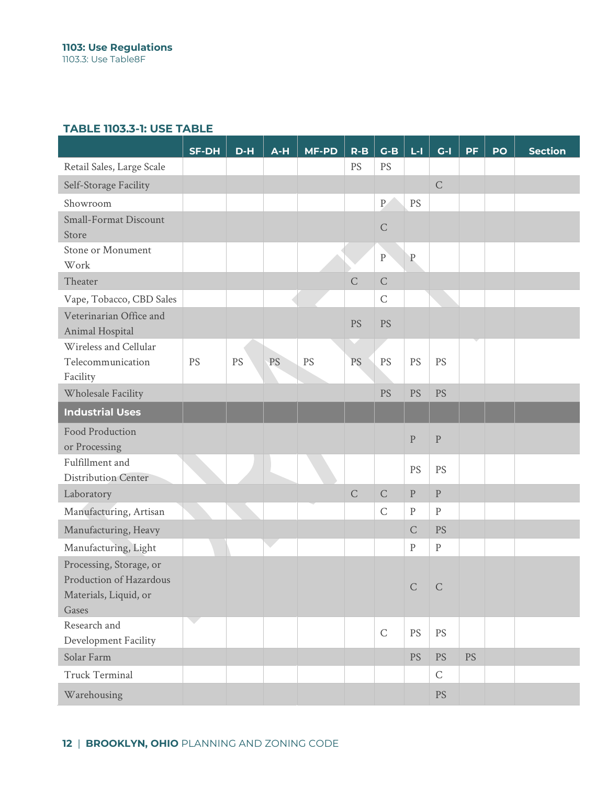|                                                                                      | <b>SF-DH</b> | D-H | $A-H$ | <b>MF-PD</b> | $R - B$        | $G-B$       | $L - 1$     | $G-I$        | <b>PF</b> | PO | <b>Section</b> |
|--------------------------------------------------------------------------------------|--------------|-----|-------|--------------|----------------|-------------|-------------|--------------|-----------|----|----------------|
| Retail Sales, Large Scale                                                            |              |     |       |              | PS             | PS          |             |              |           |    |                |
| Self-Storage Facility                                                                |              |     |       |              |                |             |             | $\mathsf C$  |           |    |                |
| Showroom                                                                             |              |     |       |              |                | ${\bf P}$   | PS          |              |           |    |                |
| <b>Small-Format Discount</b><br>Store                                                |              |     |       |              |                | $\mathsf C$ |             |              |           |    |                |
| Stone or Monument<br>Work                                                            |              |     |       |              |                | $\rm P$     | $\mathbf P$ |              |           |    |                |
| Theater                                                                              |              |     |       |              | $\overline{C}$ | $\mathsf C$ |             |              |           |    |                |
| Vape, Tobacco, CBD Sales                                                             |              |     |       |              |                | $\mathsf C$ |             |              |           |    |                |
| Veterinarian Office and<br>Animal Hospital                                           |              |     |       |              | PS             | <b>PS</b>   |             |              |           |    |                |
| Wireless and Cellular                                                                |              |     |       |              |                |             |             |              |           |    |                |
| Telecommunication<br>Facility                                                        | PS           | PS  | PS    | PS           | <b>PS</b>      | PS          | PS          | PS           |           |    |                |
| Wholesale Facility                                                                   |              |     |       |              |                | PS          | PS          | PS           |           |    |                |
| <b>Industrial Uses</b>                                                               |              |     |       |              |                |             |             |              |           |    |                |
| Food Production<br>or Processing                                                     |              |     |       |              |                |             | $\rm P$     | $\rm P$      |           |    |                |
| Fulfillment and<br><b>Distribution Center</b>                                        |              |     |       |              |                |             | PS          | PS           |           |    |                |
| Laboratory                                                                           |              |     |       |              | $\mathsf C$    | $\mathsf C$ | ${\bf P}$   | $\, {\bf p}$ |           |    |                |
| Manufacturing, Artisan                                                               |              |     |       |              |                | $\mathsf C$ | ${\bf P}$   | $\rm P$      |           |    |                |
| Manufacturing, Heavy                                                                 |              |     |       |              |                |             | $\mathsf C$ | <b>PS</b>    |           |    |                |
| Manufacturing, Light                                                                 |              |     |       |              |                |             | ${\bf P}$   | $\rm P$      |           |    |                |
| Processing, Storage, or<br>Production of Hazardous<br>Materials, Liquid, or<br>Gases |              |     |       |              |                |             | $C \cap C$  |              |           |    |                |
| Research and                                                                         |              |     |       |              |                | $\mathsf C$ | PS          | PS           |           |    |                |
| Development Facility                                                                 |              |     |       |              |                |             |             |              |           |    |                |
| Solar Farm                                                                           |              |     |       |              |                |             | <b>PS</b>   | <b>PS</b>    | <b>PS</b> |    |                |
| <b>Truck Terminal</b>                                                                |              |     |       |              |                |             |             | $\mathsf C$  |           |    |                |
| Warehousing                                                                          |              |     |       |              |                |             |             | <b>PS</b>    |           |    |                |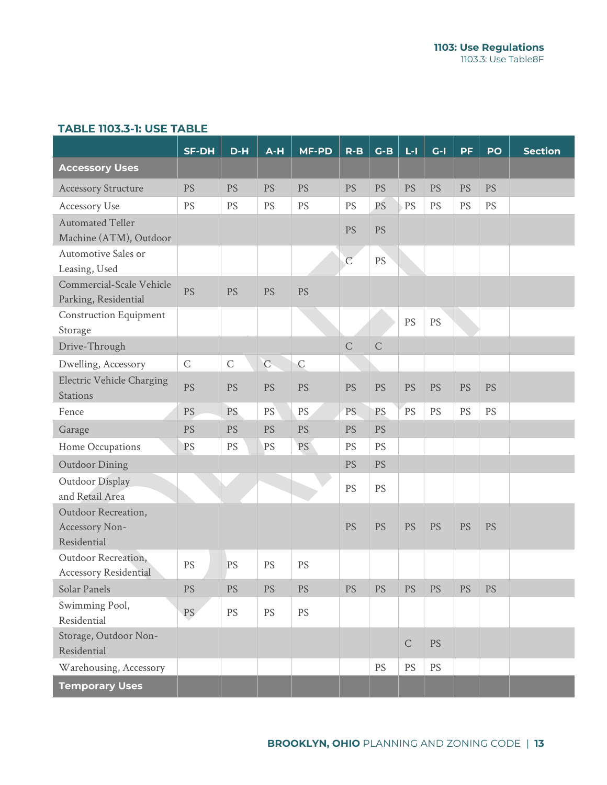|                                                     | <b>SF-DH</b> | $D-H$       | $A-H$       | <b>MF-PD</b> | $R-B$          | $G-B$       | $L - 1$     | $G-I$                  | <b>PF</b> | PO        | <b>Section</b> |
|-----------------------------------------------------|--------------|-------------|-------------|--------------|----------------|-------------|-------------|------------------------|-----------|-----------|----------------|
| <b>Accessory Uses</b>                               |              |             |             |              |                |             |             |                        |           |           |                |
| <b>Accessory Structure</b>                          | <b>PS</b>    | PS          | <b>PS</b>   | PS           | <b>PS</b>      | <b>PS</b>   | PS          | <b>PS</b>              | PS        | <b>PS</b> |                |
| Accessory Use                                       | PS           | PS          | PS          | PS           | PS             | PS          | PS          | PS                     | <b>PS</b> | PS        |                |
| <b>Automated Teller</b>                             |              |             |             |              | <b>PS</b>      | <b>PS</b>   |             |                        |           |           |                |
| Machine (ATM), Outdoor<br>Automotive Sales or       |              |             |             |              |                |             |             |                        |           |           |                |
| Leasing, Used                                       |              |             |             |              | $\overline{C}$ | <b>PS</b>   |             |                        |           |           |                |
| Commercial-Scale Vehicle<br>Parking, Residential    | <b>PS</b>    | <b>PS</b>   | <b>PS</b>   | PS           |                |             |             |                        |           |           |                |
| <b>Construction Equipment</b><br>Storage            |              |             |             |              |                |             | PS          | PS                     |           |           |                |
| Drive-Through                                       |              |             |             |              | $\overline{C}$ | $\mathsf C$ |             |                        |           |           |                |
| Dwelling, Accessory                                 | $\mathsf{C}$ | $\mathsf C$ | $\mathsf C$ | $\mathsf{C}$ |                |             |             |                        |           |           |                |
| <b>Electric Vehicle Charging</b><br><b>Stations</b> | PS           | <b>PS</b>   | PS          | PS           | PS             | PS          | PS          | <b>PS</b>              | PS        | PS        |                |
| Fence                                               | PS           | PS.         | PS          | PS           | PS.            | PS          | PS          | PS                     | PS        | PS        |                |
| Garage                                              | PS           | <b>PS</b>   | <b>PS</b>   | PS           | <b>PS</b>      | <b>PS</b>   |             |                        |           |           |                |
| Home Occupations                                    | PS           | PS          | PS          | PS           | PS             | PS          |             |                        |           |           |                |
| <b>Outdoor Dining</b>                               |              |             |             |              | <b>PS</b>      | <b>PS</b>   |             |                        |           |           |                |
| Outdoor Display<br>and Retail Area                  |              |             |             |              | PS             | PS          |             |                        |           |           |                |
| Outdoor Recreation,                                 |              |             |             |              |                |             |             |                        |           |           |                |
| Accessory Non-<br>Residential                       |              |             |             |              | <b>PS</b>      | <b>PS</b>   | PS          | <b>PS</b>              | PS        | <b>PS</b> |                |
| Outdoor Recreation,<br><b>Accessory Residential</b> | PS           | PS          | PS          | PS           |                |             |             |                        |           |           |                |
| <b>Solar Panels</b>                                 | PS           | <b>PS</b>   | PS          | PS           | PS             | <b>PS</b>   | <b>PS</b>   | <b>PS</b>              | <b>PS</b> | <b>PS</b> |                |
| Swimming Pool,<br>Residential                       | PS           | PS          | PS          | PS           |                |             |             |                        |           |           |                |
| Storage, Outdoor Non-<br>Residential                |              |             |             |              |                |             | $\mathsf C$ | <b>PS</b>              |           |           |                |
| Warehousing, Accessory                              |              |             |             |              |                | <b>PS</b>   | PS          | $\mathop{\mathrm{PS}}$ |           |           |                |
| <b>Temporary Uses</b>                               |              |             |             |              |                |             |             |                        |           |           |                |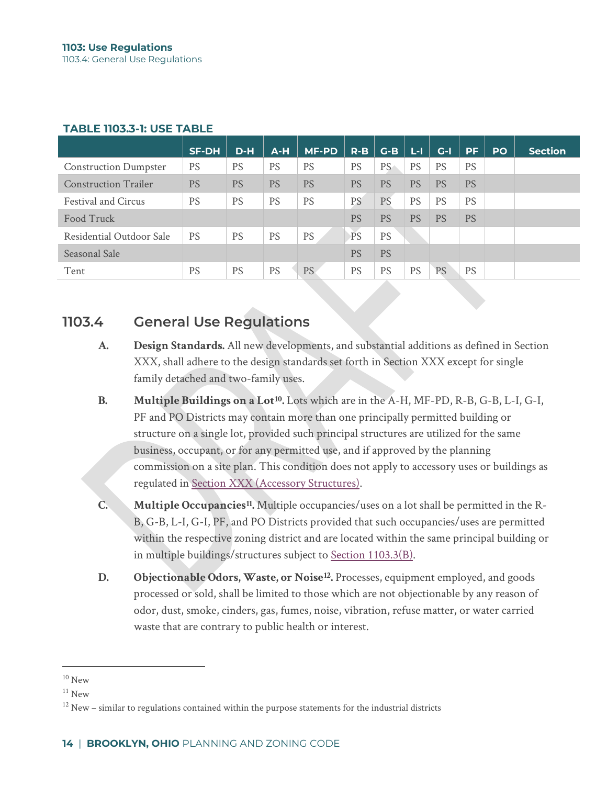|                              | <b>SF-DH</b> | $D-H$     | $A-H$     | <b>MF-PD</b> | $R-B$     | $G-B$     | L-I.      | $G-I$     | <b>PF</b> | <b>PO</b> | <b>Section</b> |
|------------------------------|--------------|-----------|-----------|--------------|-----------|-----------|-----------|-----------|-----------|-----------|----------------|
| <b>Construction Dumpster</b> | <b>PS</b>    | <b>PS</b> | <b>PS</b> | <b>PS</b>    | <b>PS</b> | <b>PS</b> | <b>PS</b> | <b>PS</b> | <b>PS</b> |           |                |
| <b>Construction Trailer</b>  | <b>PS</b>    | <b>PS</b> | <b>PS</b> | <b>PS</b>    | <b>PS</b> | <b>PS</b> | <b>PS</b> | <b>PS</b> | <b>PS</b> |           |                |
| <b>Festival and Circus</b>   | <b>PS</b>    | <b>PS</b> | <b>PS</b> | <b>PS</b>    | <b>PS</b> | <b>PS</b> | <b>PS</b> | <b>PS</b> | <b>PS</b> |           |                |
| Food Truck                   |              |           |           |              | <b>PS</b> | <b>PS</b> | <b>PS</b> | <b>PS</b> | <b>PS</b> |           |                |
| Residential Outdoor Sale     | <b>PS</b>    | <b>PS</b> | <b>PS</b> | <b>PS</b>    | PS        | <b>PS</b> |           |           |           |           |                |
| Seasonal Sale                |              |           |           |              | <b>PS</b> | <b>PS</b> |           |           |           |           |                |
| Tent                         | <b>PS</b>    | <b>PS</b> | <b>PS</b> | PS.          | <b>PS</b> | <b>PS</b> | <b>PS</b> | <b>PS</b> | <b>PS</b> |           |                |

## **1103.4 General Use Regulations**

- **A. Design Standards.** All new developments, and substantial additions as defined in Section XXX, shall adhere to the design standards set forth in Section XXX except for single family detached and two-family uses.
- **B. Multiple Buildings on a Lot[10.](#page-10-0)** Lots which are in the A-H, MF-PD, R-B, G-B, L-I, G-I, PF and PO Districts may contain more than one principally permitted building or structure on a single lot, provided such principal structures are utilized for the same business, occupant, or for any permitted use, and if approved by the planning commission on a site plan. This condition does not apply to accessory uses or buildings as regulated in Section XXX (Accessory Structures).
- **C. Multiple Occupancies[11](#page-10-1).** Multiple occupancies/uses on a lot shall be permitted in the R-B, G-B, L-I, G-I, PF, and PO Districts provided that such occupancies/uses are permitted within the respective zoning district and are located within the same principal building or in multiple buildings/structures subject to Section 1103.3(B).
- **D. Objectionable Odors, Waste, or Noise[12.](#page-10-2)** Processes, equipment employed, and goods processed or sold, shall be limited to those which are not objectionable by any reason of odor, dust, smoke, cinders, gas, fumes, noise, vibration, refuse matter, or water carried waste that are contrary to public health or interest.

<span id="page-10-0"></span> $10$  New

<span id="page-10-1"></span> $11$  New

<span id="page-10-2"></span> $12$  New – similar to regulations contained within the purpose statements for the industrial districts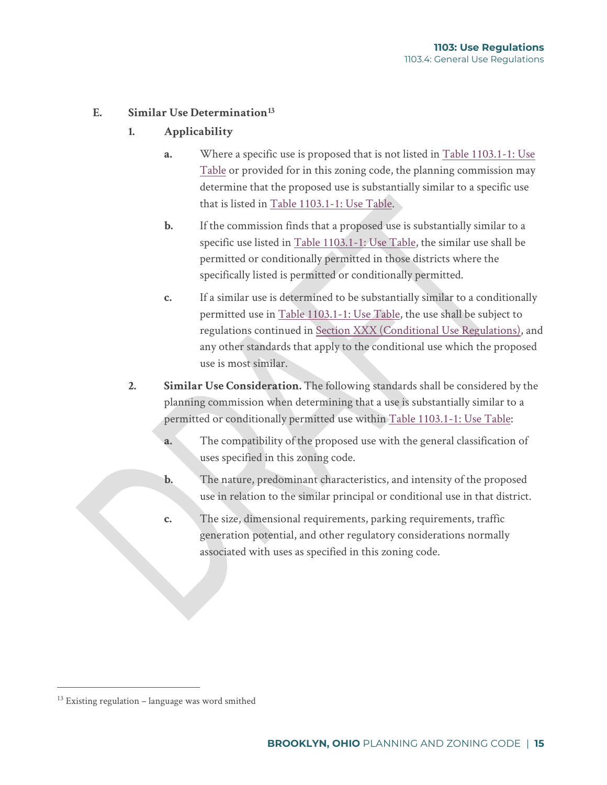### **E. Similar Use Determinatio[n13](#page-11-0)**

- **1. Applicability**
	- **a.** Where a specific use is proposed that is not listed in Table 1103.1-1: Use Table or provided for in this zoning code, the planning commission may determine that the proposed use is substantially similar to a specific use that is listed in Table 1103.1-1: Use Table.
	- **b.** If the commission finds that a proposed use is substantially similar to a specific use listed in Table 1103.1-1: Use Table, the similar use shall be permitted or conditionally permitted in those districts where the specifically listed is permitted or conditionally permitted.
	- **c.** If a similar use is determined to be substantially similar to a conditionally permitted use in Table 1103.1-1: Use Table, the use shall be subject to regulations continued in Section XXX (Conditional Use Regulations), and any other standards that apply to the conditional use which the proposed use is most similar.
- **2. Similar Use Consideration.** The following standards shall be considered by the planning commission when determining that a use is substantially similar to a permitted or conditionally permitted use within Table 1103.1-1: Use Table:
	- **a.** The compatibility of the proposed use with the general classification of uses specified in this zoning code.
	- **b.** The nature, predominant characteristics, and intensity of the proposed use in relation to the similar principal or conditional use in that district.
	- **c.** The size, dimensional requirements, parking requirements, traffic generation potential, and other regulatory considerations normally associated with uses as specified in this zoning code.

<span id="page-11-0"></span> $13$  Existing regulation – language was word smithed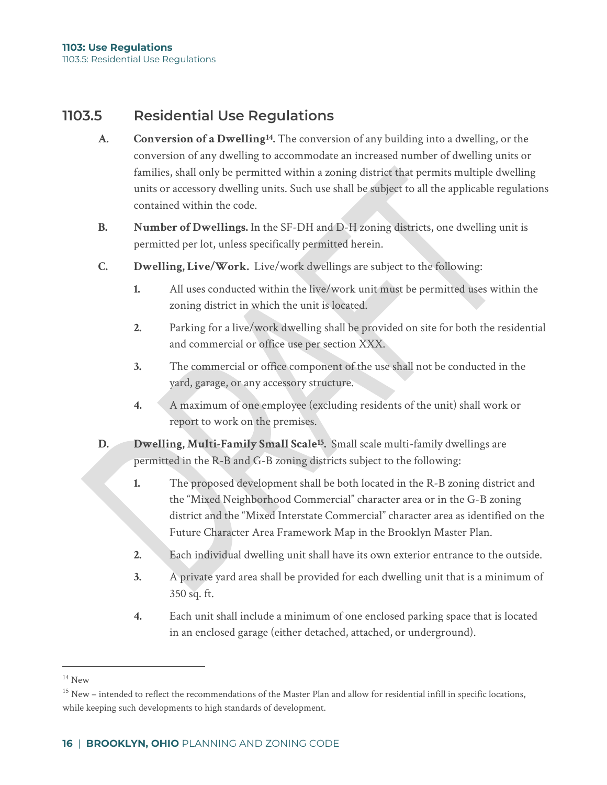## **1103.5 Residential Use Regulations**

- **A. Conversion of a Dwellin[g14](#page-12-0).** The conversion of any building into a dwelling, or the conversion of any dwelling to accommodate an increased number of dwelling units or families, shall only be permitted within a zoning district that permits multiple dwelling units or accessory dwelling units. Such use shall be subject to all the applicable regulations contained within the code.
- **B. Number of Dwellings.** In the SF-DH and D-H zoning districts, one dwelling unit is permitted per lot, unless specifically permitted herein.
- **C. Dwelling, Live/Work.** Live/work dwellings are subject to the following:
	- **1.** All uses conducted within the live/work unit must be permitted uses within the zoning district in which the unit is located.
	- **2.** Parking for a live/work dwelling shall be provided on site for both the residential and commercial or office use per section XXX.
	- **3.** The commercial or office component of the use shall not be conducted in the yard, garage, or any accessory structure.
	- **4.** A maximum of one employee (excluding residents of the unit) shall work or report to work on the premises.
- **D. Dwelling, Multi-Family Small Scale[15.](#page-12-1)** Small scale multi-family dwellings are permitted in the R-B and G-B zoning districts subject to the following:
	- **1.** The proposed development shall be both located in the R-B zoning district and the "Mixed Neighborhood Commercial" character area or in the G-B zoning district and the "Mixed Interstate Commercial" character area as identified on the Future Character Area Framework Map in the Brooklyn Master Plan.
	- **2.** Each individual dwelling unit shall have its own exterior entrance to the outside.
	- **3.** A private yard area shall be provided for each dwelling unit that is a minimum of 350 sq. ft.
	- **4.** Each unit shall include a minimum of one enclosed parking space that is located in an enclosed garage (either detached, attached, or underground).

<span id="page-12-0"></span> $14$  New

<span id="page-12-1"></span> $15$  New – intended to reflect the recommendations of the Master Plan and allow for residential infill in specific locations, while keeping such developments to high standards of development.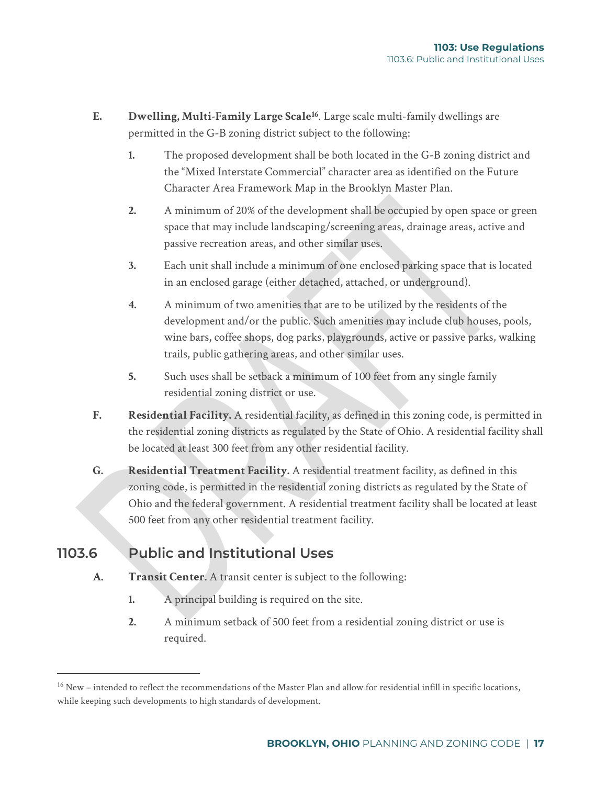- **E. Dwelling, Multi-Family Large Scale[16](#page-13-0)**. Large scale multi-family dwellings are permitted in the G-B zoning district subject to the following:
	- **1.** The proposed development shall be both located in the G-B zoning district and the "Mixed Interstate Commercial" character area as identified on the Future Character Area Framework Map in the Brooklyn Master Plan.
	- **2.** A minimum of 20% of the development shall be occupied by open space or green space that may include landscaping/screening areas, drainage areas, active and passive recreation areas, and other similar uses.
	- **3.** Each unit shall include a minimum of one enclosed parking space that is located in an enclosed garage (either detached, attached, or underground).
	- **4.** A minimum of two amenities that are to be utilized by the residents of the development and/or the public. Such amenities may include club houses, pools, wine bars, coffee shops, dog parks, playgrounds, active or passive parks, walking trails, public gathering areas, and other similar uses.
	- **5.** Such uses shall be setback a minimum of 100 feet from any single family residential zoning district or use.
- **F. Residential Facility.** A residential facility, as defined in this zoning code, is permitted in the residential zoning districts as regulated by the State of Ohio. A residential facility shall be located at least 300 feet from any other residential facility.
- **G. Residential Treatment Facility.** A residential treatment facility, as defined in this zoning code, is permitted in the residential zoning districts as regulated by the State of Ohio and the federal government. A residential treatment facility shall be located at least 500 feet from any other residential treatment facility.

# **1103.6 Public and Institutional Uses**

- **A. Transit Center.** A transit center is subject to the following:
	- **1.** A principal building is required on the site.
	- **2.** A minimum setback of 500 feet from a residential zoning district or use is required.

<span id="page-13-0"></span> $16$  New – intended to reflect the recommendations of the Master Plan and allow for residential infill in specific locations, while keeping such developments to high standards of development.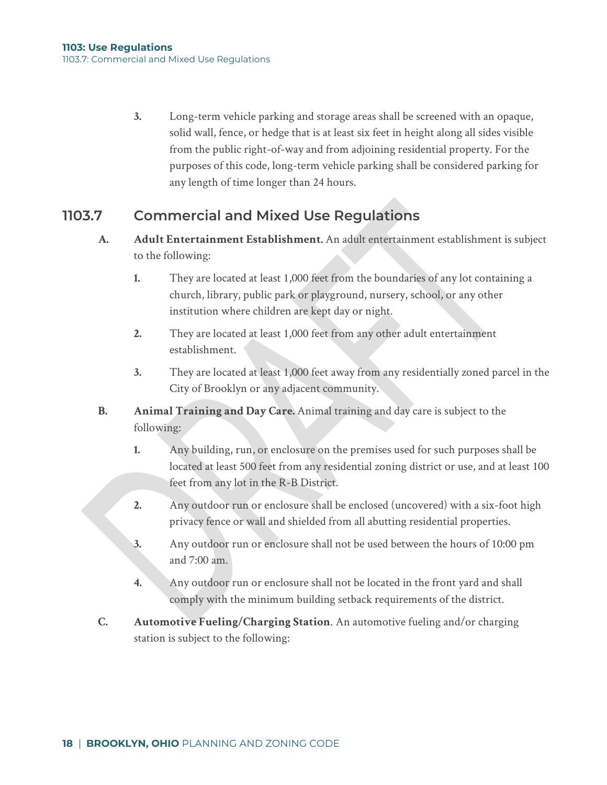**3.** Long-term vehicle parking and storage areas shall be screened with an opaque, solid wall, fence, or hedge that is at least six feet in height along all sides visible from the public right-of-way and from adjoining residential property. For the purposes of this code, long-term vehicle parking shall be considered parking for any length of time longer than 24 hours.

## **1103.7 Commercial and Mixed Use Regulations**

- **A. Adult Entertainment Establishment.** An adult entertainment establishment is subject to the following:
	- **1.** They are located at least 1,000 feet from the boundaries of any lot containing a church, library, public park or playground, nursery, school, or any other institution where children are kept day or night.
	- **2.** They are located at least 1,000 feet from any other adult entertainment establishment.
	- **3.** They are located at least 1,000 feet away from any residentially zoned parcel in the City of Brooklyn or any adjacent community.
- **B. Animal Training and Day Care.** Animal training and day care is subject to the following:
	- **1.** Any building, run, or enclosure on the premises used for such purposes shall be located at least 500 feet from any residential zoning district or use, and at least 100 feet from any lot in the R-B District.
	- **2.** Any outdoor run or enclosure shall be enclosed (uncovered) with a six-foot high privacy fence or wall and shielded from all abutting residential properties.
	- **3.** Any outdoor run or enclosure shall not be used between the hours of 10:00 pm and 7:00 am.
	- **4.** Any outdoor run or enclosure shall not be located in the front yard and shall comply with the minimum building setback requirements of the district.
- **C. Automotive Fueling/Charging Station**. An automotive fueling and/or charging station is subject to the following: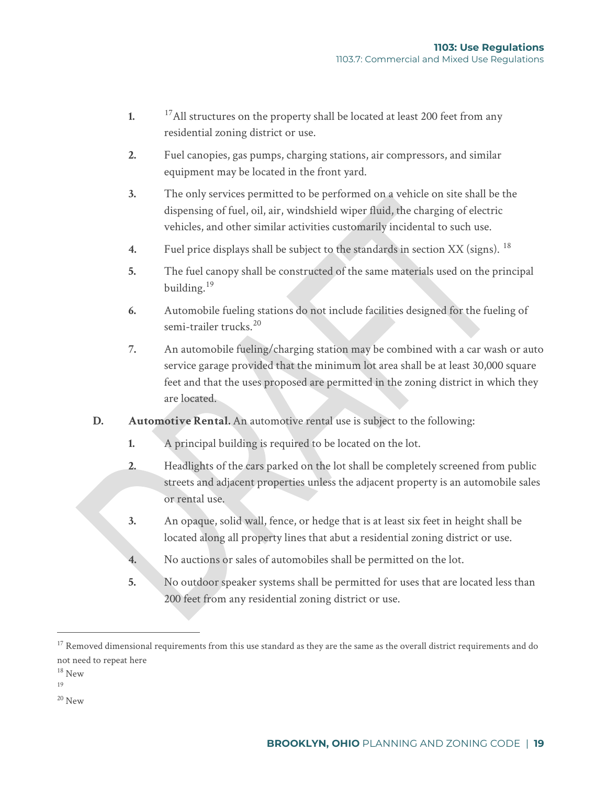- **1.** <sup>[17](#page-15-0)</sup>All structures on the property shall be located at least 200 feet from any residential zoning district or use.
- **2.** Fuel canopies, gas pumps, charging stations, air compressors, and similar equipment may be located in the front yard.
- **3.** The only services permitted to be performed on a vehicle on site shall be the dispensing of fuel, oil, air, windshield wiper fluid, the charging of electric vehicles, and other similar activities customarily incidental to such use.
- **4.** Fuel price displays shall be subject to the standards in section XX (signs). [18](#page-15-1)
- **5.** The fuel canopy shall be constructed of the same materials used on the principal building.[19](#page-15-2)
- **6.** Automobile fueling stations do not include facilities designed for the fueling of semi-trailer trucks.<sup>[20](#page-15-3)</sup>
- **7.** An automobile fueling/charging station may be combined with a car wash or auto service garage provided that the minimum lot area shall be at least 30,000 square feet and that the uses proposed are permitted in the zoning district in which they are located.
- **D. Automotive Rental.** An automotive rental use is subject to the following:
	- **1.** A principal building is required to be located on the lot.
	- **2.** Headlights of the cars parked on the lot shall be completely screened from public streets and adjacent properties unless the adjacent property is an automobile sales or rental use.
	- **3.** An opaque, solid wall, fence, or hedge that is at least six feet in height shall be located along all property lines that abut a residential zoning district or use.
	- **4.** No auctions or sales of automobiles shall be permitted on the lot.
	- **5.** No outdoor speaker systems shall be permitted for uses that are located less than 200 feet from any residential zoning district or use.

<span id="page-15-2"></span>19

<span id="page-15-3"></span> $20$  New

<span id="page-15-0"></span> $17$  Removed dimensional requirements from this use standard as they are the same as the overall district requirements and do not need to repeat here

<span id="page-15-1"></span><sup>18</sup> New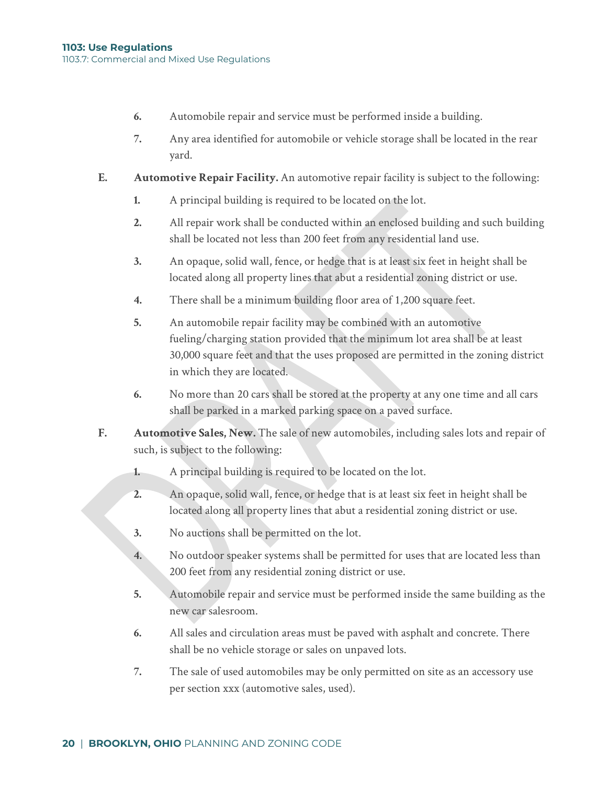- **6.** Automobile repair and service must be performed inside a building.
- **7.** Any area identified for automobile or vehicle storage shall be located in the rear yard.
- **E. Automotive Repair Facility.** An automotive repair facility is subject to the following:
	- **1.** A principal building is required to be located on the lot.
	- **2.** All repair work shall be conducted within an enclosed building and such building shall be located not less than 200 feet from any residential land use.
	- **3.** An opaque, solid wall, fence, or hedge that is at least six feet in height shall be located along all property lines that abut a residential zoning district or use.
	- **4.** There shall be a minimum building floor area of 1,200 square feet.
	- **5.** An automobile repair facility may be combined with an automotive fueling/charging station provided that the minimum lot area shall be at least 30,000 square feet and that the uses proposed are permitted in the zoning district in which they are located.
	- **6.** No more than 20 cars shall be stored at the property at any one time and all cars shall be parked in a marked parking space on a paved surface.
- **F. Automotive Sales, New.** The sale of new automobiles, including sales lots and repair of such, is subject to the following:
	- **1.** A principal building is required to be located on the lot.
	- **2.** An opaque, solid wall, fence, or hedge that is at least six feet in height shall be located along all property lines that abut a residential zoning district or use.
	- **3.** No auctions shall be permitted on the lot.
	- **4.** No outdoor speaker systems shall be permitted for uses that are located less than 200 feet from any residential zoning district or use.
	- **5.** Automobile repair and service must be performed inside the same building as the new car salesroom.
	- **6.** All sales and circulation areas must be paved with asphalt and concrete. There shall be no vehicle storage or sales on unpaved lots.
	- **7.** The sale of used automobiles may be only permitted on site as an accessory use per section xxx (automotive sales, used).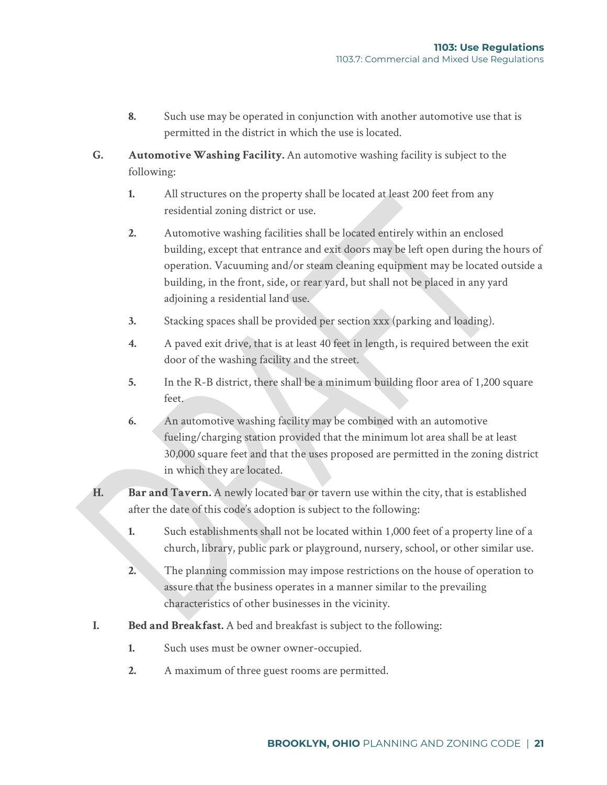- **8.** Such use may be operated in conjunction with another automotive use that is permitted in the district in which the use is located.
- **G. Automotive Washing Facility.** An automotive washing facility is subject to the following:
	- **1.** All structures on the property shall be located at least 200 feet from any residential zoning district or use.
	- **2.** Automotive washing facilities shall be located entirely within an enclosed building, except that entrance and exit doors may be left open during the hours of operation. Vacuuming and/or steam cleaning equipment may be located outside a building, in the front, side, or rear yard, but shall not be placed in any yard adjoining a residential land use.
	- **3.** Stacking spaces shall be provided per section xxx (parking and loading).
	- **4.** A paved exit drive, that is at least 40 feet in length, is required between the exit door of the washing facility and the street.
	- **5.** In the R-B district, there shall be a minimum building floor area of 1,200 square feet.
	- **6.** An automotive washing facility may be combined with an automotive fueling/charging station provided that the minimum lot area shall be at least 30,000 square feet and that the uses proposed are permitted in the zoning district in which they are located.
- **H. Bar and Tavern.** A newly located bar or tavern use within the city, that is established after the date of this code's adoption is subject to the following:
	- **1.** Such establishments shall not be located within 1,000 feet of a property line of a church, library, public park or playground, nursery, school, or other similar use.
	- **2.** The planning commission may impose restrictions on the house of operation to assure that the business operates in a manner similar to the prevailing characteristics of other businesses in the vicinity.
- **I. Bed and Breakfast.** A bed and breakfast is subject to the following:
	- **1.** Such uses must be owner owner-occupied.
	- **2.** A maximum of three guest rooms are permitted.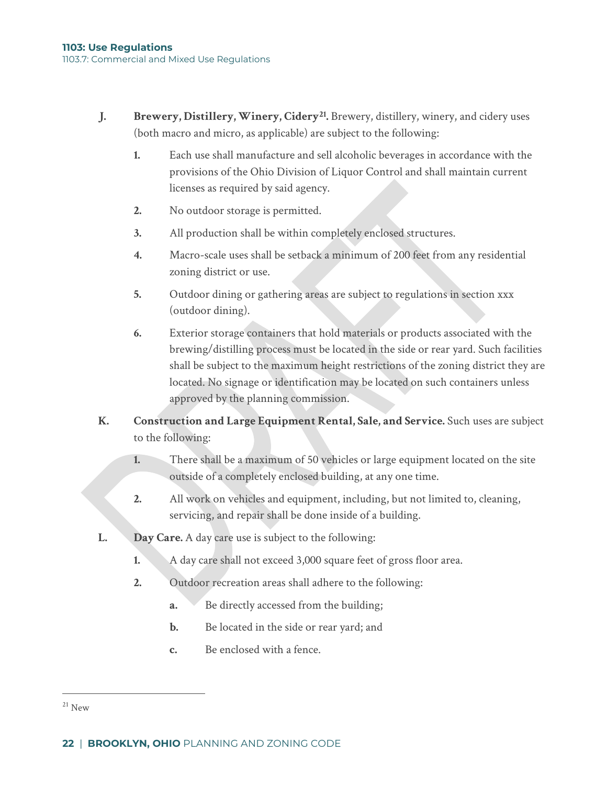- **J. Brewery, Distillery, Winery, Cidery[21](#page-18-0).** Brewery, distillery, winery, and cidery uses (both macro and micro, as applicable) are subject to the following:
	- **1.** Each use shall manufacture and sell alcoholic beverages in accordance with the provisions of the Ohio Division of Liquor Control and shall maintain current licenses as required by said agency.
	- **2.** No outdoor storage is permitted.
	- **3.** All production shall be within completely enclosed structures.
	- **4.** Macro-scale uses shall be setback a minimum of 200 feet from any residential zoning district or use.
	- **5.** Outdoor dining or gathering areas are subject to regulations in section xxx (outdoor dining).
	- **6.** Exterior storage containers that hold materials or products associated with the brewing/distilling process must be located in the side or rear yard. Such facilities shall be subject to the maximum height restrictions of the zoning district they are located. No signage or identification may be located on such containers unless approved by the planning commission.
- **K. Construction and Large Equipment Rental, Sale, and Service.** Such uses are subject to the following:
	- **1.** There shall be a maximum of 50 vehicles or large equipment located on the site outside of a completely enclosed building, at any one time.
	- **2.** All work on vehicles and equipment, including, but not limited to, cleaning, servicing, and repair shall be done inside of a building.
- **L. Day Care.** A day care use is subject to the following:
	- **1.** A day care shall not exceed 3,000 square feet of gross floor area.
	- **2.** Outdoor recreation areas shall adhere to the following:
		- **a.** Be directly accessed from the building;
		- **b.** Be located in the side or rear yard; and
		- **c.** Be enclosed with a fence.

<span id="page-18-0"></span> $21$  New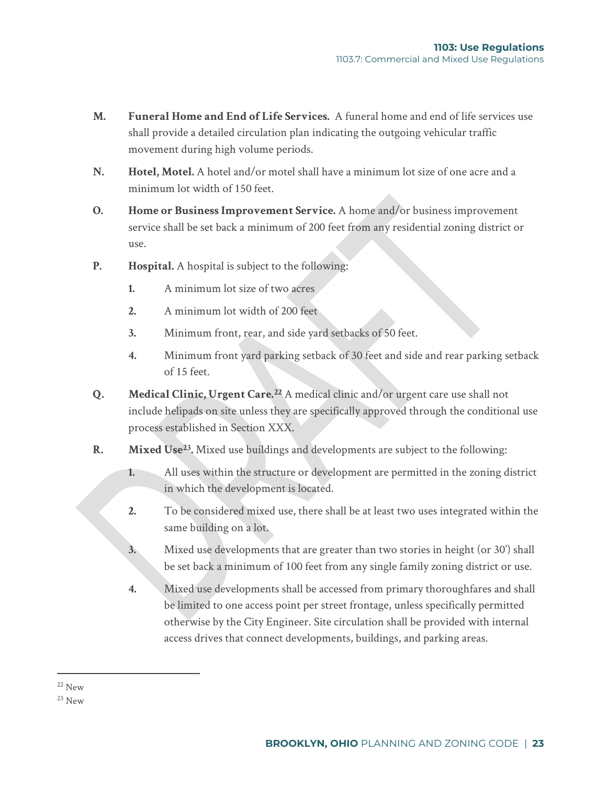- **M. Funeral Home and End of Life Services.** A funeral home and end of life services use shall provide a detailed circulation plan indicating the outgoing vehicular traffic movement during high volume periods.
- **N. Hotel, Motel.** A hotel and/or motel shall have a minimum lot size of one acre and a minimum lot width of 150 feet.
- **O. Home or Business Improvement Service.** A home and/or business improvement service shall be set back a minimum of 200 feet from any residential zoning district or use.
- **P. Hospital.** A hospital is subject to the following:
	- **1.** A minimum lot size of two acres
	- **2.** A minimum lot width of 200 feet
	- **3.** Minimum front, rear, and side yard setbacks of 50 feet.
	- **4.** Minimum front yard parking setback of 30 feet and side and rear parking setback of 15 feet.
- **Q. Medical Clinic, Urgent Care.[22](#page-19-0)** A medical clinic and/or urgent care use shall not include helipads on site unless they are specifically approved through the conditional use process established in Section XXX.
- **R. Mixed Use[23.](#page-19-1)** Mixed use buildings and developments are subject to the following:
	- **1.** All uses within the structure or development are permitted in the zoning district in which the development is located.
	- **2.** To be considered mixed use, there shall be at least two uses integrated within the same building on a lot.
	- **3.** Mixed use developments that are greater than two stories in height (or 30') shall be set back a minimum of 100 feet from any single family zoning district or use.
	- **4.** Mixed use developments shall be accessed from primary thoroughfares and shall be limited to one access point per street frontage, unless specifically permitted otherwise by the City Engineer. Site circulation shall be provided with internal access drives that connect developments, buildings, and parking areas.

<span id="page-19-0"></span> $22$  New

<span id="page-19-1"></span> $^{23}$  New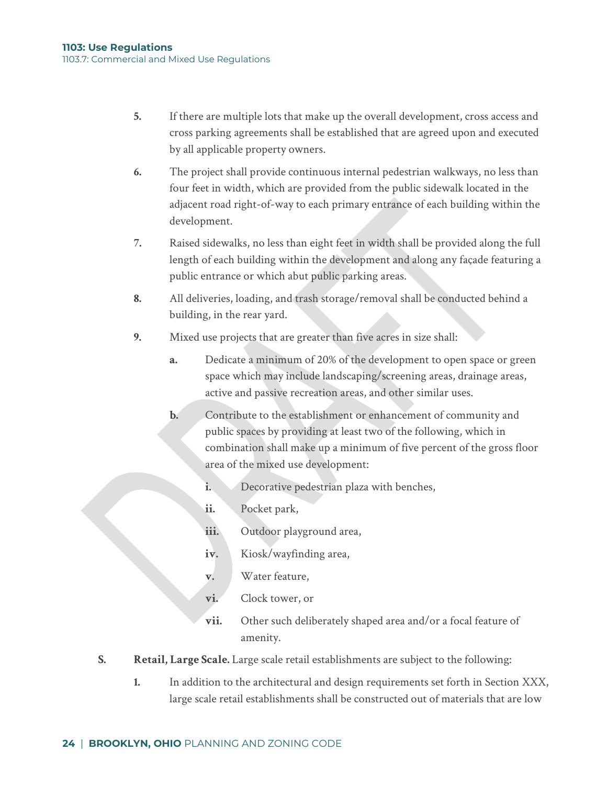- **5.** If there are multiple lots that make up the overall development, cross access and cross parking agreements shall be established that are agreed upon and executed by all applicable property owners.
- **6.** The project shall provide continuous internal pedestrian walkways, no less than four feet in width, which are provided from the public sidewalk located in the adjacent road right-of-way to each primary entrance of each building within the development.
- **7.** Raised sidewalks, no less than eight feet in width shall be provided along the full length of each building within the development and along any façade featuring a public entrance or which abut public parking areas.
- **8.** All deliveries, loading, and trash storage/removal shall be conducted behind a building, in the rear yard.
- **9.** Mixed use projects that are greater than five acres in size shall:
	- **a.** Dedicate a minimum of 20% of the development to open space or green space which may include landscaping/screening areas, drainage areas, active and passive recreation areas, and other similar uses.
	- **b.** Contribute to the establishment or enhancement of community and public spaces by providing at least two of the following, which in combination shall make up a minimum of five percent of the gross floor area of the mixed use development:
		- **i.** Decorative pedestrian plaza with benches,
		- **ii.** Pocket park,
		- iii. Outdoor playground area,
		- **iv.** Kiosk/wayfinding area,
		- **v.** Water feature,
		- **vi.** Clock tower, or
		- **vii.** Other such deliberately shaped area and/or a focal feature of amenity.
- **S. Retail, Large Scale.** Large scale retail establishments are subject to the following:
	- **1.** In addition to the architectural and design requirements set forth in Section XXX, large scale retail establishments shall be constructed out of materials that are low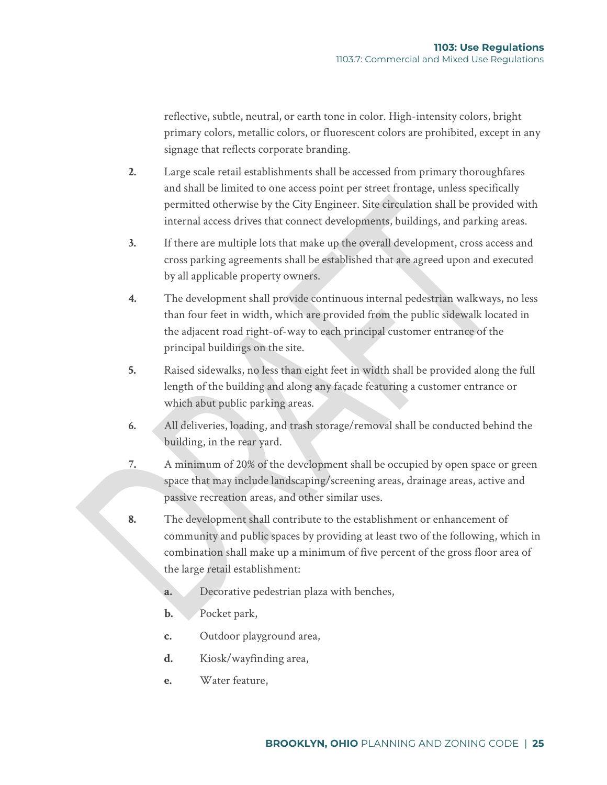reflective, subtle, neutral, or earth tone in color. High-intensity colors, bright primary colors, metallic colors, or fluorescent colors are prohibited, except in any signage that reflects corporate branding.

- **2.** Large scale retail establishments shall be accessed from primary thoroughfares and shall be limited to one access point per street frontage, unless specifically permitted otherwise by the City Engineer. Site circulation shall be provided with internal access drives that connect developments, buildings, and parking areas.
- **3.** If there are multiple lots that make up the overall development, cross access and cross parking agreements shall be established that are agreed upon and executed by all applicable property owners.
- **4.** The development shall provide continuous internal pedestrian walkways, no less than four feet in width, which are provided from the public sidewalk located in the adjacent road right-of-way to each principal customer entrance of the principal buildings on the site.
- **5.** Raised sidewalks, no less than eight feet in width shall be provided along the full length of the building and along any façade featuring a customer entrance or which abut public parking areas.
- **6.** All deliveries, loading, and trash storage/removal shall be conducted behind the building, in the rear yard.
- **7.** A minimum of 20% of the development shall be occupied by open space or green space that may include landscaping/screening areas, drainage areas, active and passive recreation areas, and other similar uses.
- **8.** The development shall contribute to the establishment or enhancement of community and public spaces by providing at least two of the following, which in combination shall make up a minimum of five percent of the gross floor area of the large retail establishment:
	- **a.** Decorative pedestrian plaza with benches,
	- **b.** Pocket park,
	- **c.** Outdoor playground area,
	- **d.** Kiosk/wayfinding area,
	- **e.** Water feature,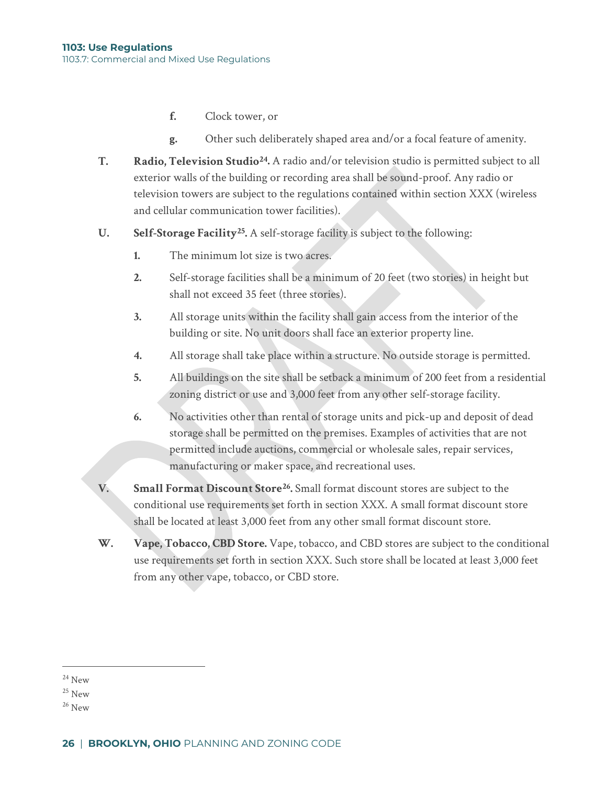- **f.** Clock tower, or
- **g.** Other such deliberately shaped area and/or a focal feature of amenity.
- **T. Radio, Television Studio[24](#page-22-0).** A radio and/or television studio is permitted subject to all exterior walls of the building or recording area shall be sound-proof. Any radio or television towers are subject to the regulations contained within section XXX (wireless and cellular communication tower facilities).
- **U. Self-Storage Facility[25](#page-22-1).** A self-storage facility is subject to the following:
	- **1.** The minimum lot size is two acres.
	- **2.** Self-storage facilities shall be a minimum of 20 feet (two stories) in height but shall not exceed 35 feet (three stories).
	- **3.** All storage units within the facility shall gain access from the interior of the building or site. No unit doors shall face an exterior property line.
	- **4.** All storage shall take place within a structure. No outside storage is permitted.
	- **5.** All buildings on the site shall be setback a minimum of 200 feet from a residential zoning district or use and 3,000 feet from any other self-storage facility.
	- **6.** No activities other than rental of storage units and pick-up and deposit of dead storage shall be permitted on the premises. Examples of activities that are not permitted include auctions, commercial or wholesale sales, repair services, manufacturing or maker space, and recreational uses.
- **V. Small Format Discount Store[26.](#page-22-2)** Small format discount stores are subject to the conditional use requirements set forth in section XXX. A small format discount store shall be located at least 3,000 feet from any other small format discount store.
- **W. Vape, Tobacco, CBD Store.** Vape, tobacco, and CBD stores are subject to the conditional use requirements set forth in section XXX. Such store shall be located at least 3,000 feet from any other vape, tobacco, or CBD store.

<span id="page-22-0"></span> $24$  New

<span id="page-22-1"></span> $25$  New

<span id="page-22-2"></span> $26$  New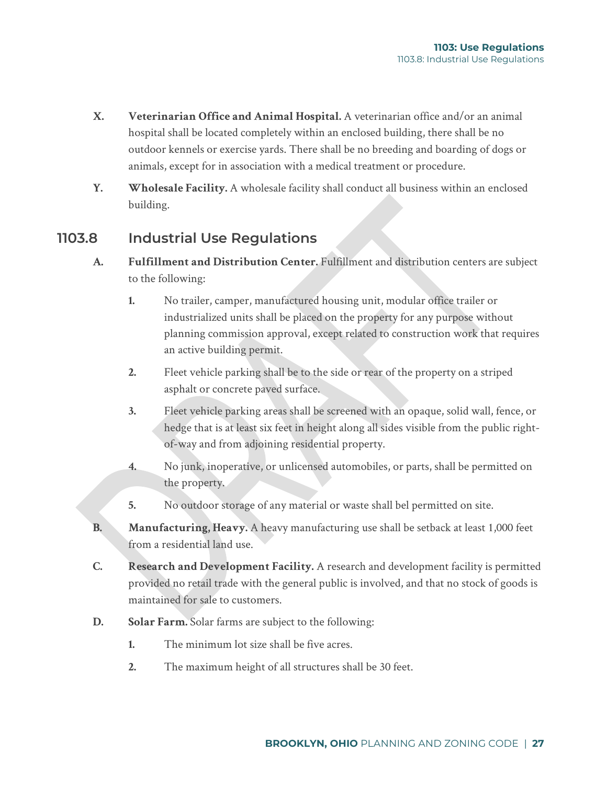- **X. Veterinarian Office and Animal Hospital.** A veterinarian office and/or an animal hospital shall be located completely within an enclosed building, there shall be no outdoor kennels or exercise yards. There shall be no breeding and boarding of dogs or animals, except for in association with a medical treatment or procedure.
- **Y. Wholesale Facility.** A wholesale facility shall conduct all business within an enclosed building.

## **1103.8 Industrial Use Regulations**

- **A. Fulfillment and Distribution Center.** Fulfillment and distribution centers are subject to the following:
	- **1.** No trailer, camper, manufactured housing unit, modular office trailer or industrialized units shall be placed on the property for any purpose without planning commission approval, except related to construction work that requires an active building permit.
	- **2.** Fleet vehicle parking shall be to the side or rear of the property on a striped asphalt or concrete paved surface.
	- **3.** Fleet vehicle parking areas shall be screened with an opaque, solid wall, fence, or hedge that is at least six feet in height along all sides visible from the public rightof-way and from adjoining residential property.
	- **4.** No junk, inoperative, or unlicensed automobiles, or parts, shall be permitted on the property.
	- **5.** No outdoor storage of any material or waste shall bel permitted on site.
- **B. Manufacturing, Heavy.** A heavy manufacturing use shall be setback at least 1,000 feet from a residential land use.
- **C. Research and Development Facility.** A research and development facility is permitted provided no retail trade with the general public is involved, and that no stock of goods is maintained for sale to customers.
- **D. Solar Farm.** Solar farms are subject to the following:
	- **1.** The minimum lot size shall be five acres.
	- **2.** The maximum height of all structures shall be 30 feet.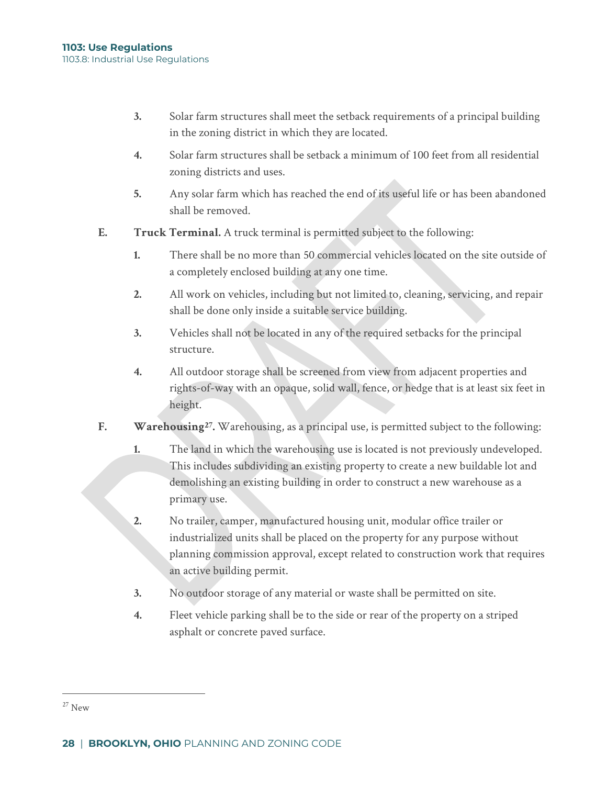- **3.** Solar farm structures shall meet the setback requirements of a principal building in the zoning district in which they are located.
- **4.** Solar farm structures shall be setback a minimum of 100 feet from all residential zoning districts and uses.
- **5.** Any solar farm which has reached the end of its useful life or has been abandoned shall be removed.
- **E. Truck Terminal.** A truck terminal is permitted subject to the following:
	- **1.** There shall be no more than 50 commercial vehicles located on the site outside of a completely enclosed building at any one time.
	- **2.** All work on vehicles, including but not limited to, cleaning, servicing, and repair shall be done only inside a suitable service building.
	- **3.** Vehicles shall not be located in any of the required setbacks for the principal structure.
	- **4.** All outdoor storage shall be screened from view from adjacent properties and rights-of-way with an opaque, solid wall, fence, or hedge that is at least six feet in height.
- **F. Warehousing[27.](#page-24-0)** Warehousing, as a principal use, is permitted subject to the following:
	- **1.** The land in which the warehousing use is located is not previously undeveloped. This includes subdividing an existing property to create a new buildable lot and demolishing an existing building in order to construct a new warehouse as a primary use.
	- **2.** No trailer, camper, manufactured housing unit, modular office trailer or industrialized units shall be placed on the property for any purpose without planning commission approval, except related to construction work that requires an active building permit.
	- **3.** No outdoor storage of any material or waste shall be permitted on site.
	- **4.** Fleet vehicle parking shall be to the side or rear of the property on a striped asphalt or concrete paved surface.

<span id="page-24-0"></span> $27$  New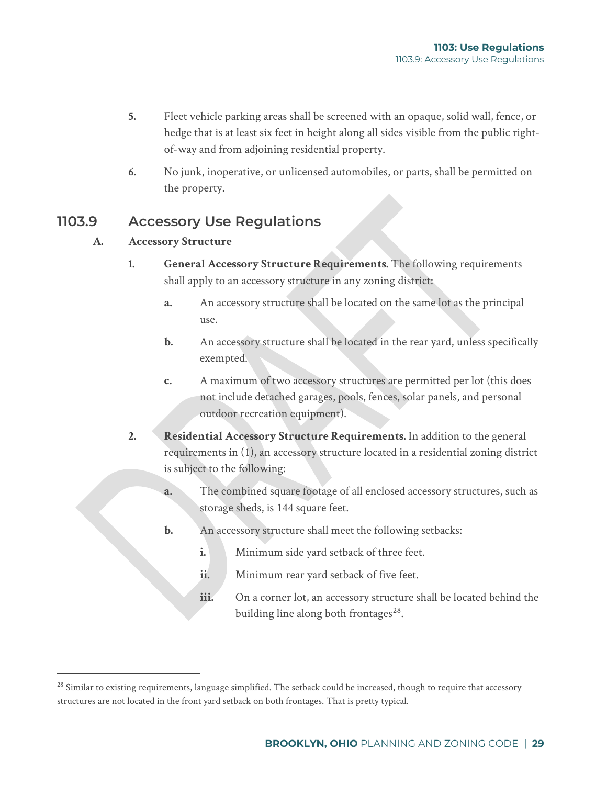- **5.** Fleet vehicle parking areas shall be screened with an opaque, solid wall, fence, or hedge that is at least six feet in height along all sides visible from the public rightof-way and from adjoining residential property.
- **6.** No junk, inoperative, or unlicensed automobiles, or parts, shall be permitted on the property.

## **1103.9 Accessory Use Regulations**

### **A. Accessory Structure**

- **1. General Accessory Structure Requirements.** The following requirements shall apply to an accessory structure in any zoning district:
	- **a.** An accessory structure shall be located on the same lot as the principal use.
	- **b.** An accessory structure shall be located in the rear yard, unless specifically exempted.
	- **c.** A maximum of two accessory structures are permitted per lot (this does not include detached garages, pools, fences, solar panels, and personal outdoor recreation equipment).
- **2. Residential Accessory Structure Requirements.** In addition to the general requirements in (1), an accessory structure located in a residential zoning district is subject to the following:
	- **a.** The combined square footage of all enclosed accessory structures, such as storage sheds, is 144 square feet.
	- **b.** An accessory structure shall meet the following setbacks:
		- **i.** Minimum side yard setback of three feet.
		- ii. Minimum rear yard setback of five feet.
		- iii. On a corner lot, an accessory structure shall be located behind the building line along both frontages $^{28}$ .

<span id="page-25-0"></span> $^{28}$  Similar to existing requirements, language simplified. The setback could be increased, though to require that accessory structures are not located in the front yard setback on both frontages. That is pretty typical.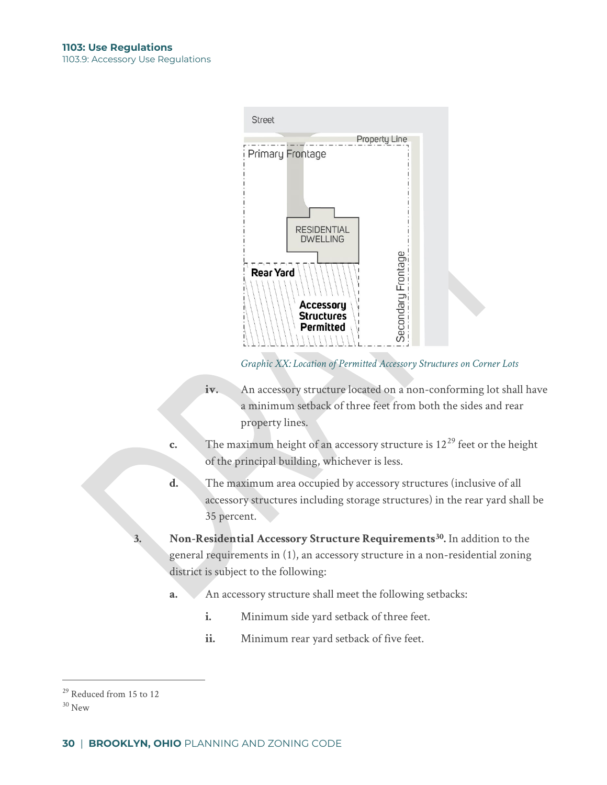

*Graphic XX: Location of Permitted Accessory Structures on Corner Lots*

- **iv.** An accessory structure located on a non-conforming lot shall have a minimum setback of three feet from both the sides and rear property lines.
- **c.** The maximum height of an accessory structure is  $12^{29}$  $12^{29}$  $12^{29}$  feet or the height of the principal building, whichever is less.
- **d.** The maximum area occupied by accessory structures (inclusive of all accessory structures including storage structures) in the rear yard shall be 35 percent.
- **3. Non-Residential Accessory Structure Requirements[30.](#page-26-1)** In addition to the general requirements in (1), an accessory structure in a non-residential zoning district is subject to the following:
	- **a.** An accessory structure shall meet the following setbacks:
		- **i.** Minimum side yard setback of three feet.
		- **ii.** Minimum rear yard setback of five feet.

<span id="page-26-0"></span><sup>&</sup>lt;sup>29</sup> Reduced from 15 to 12

<span id="page-26-1"></span> $30$  New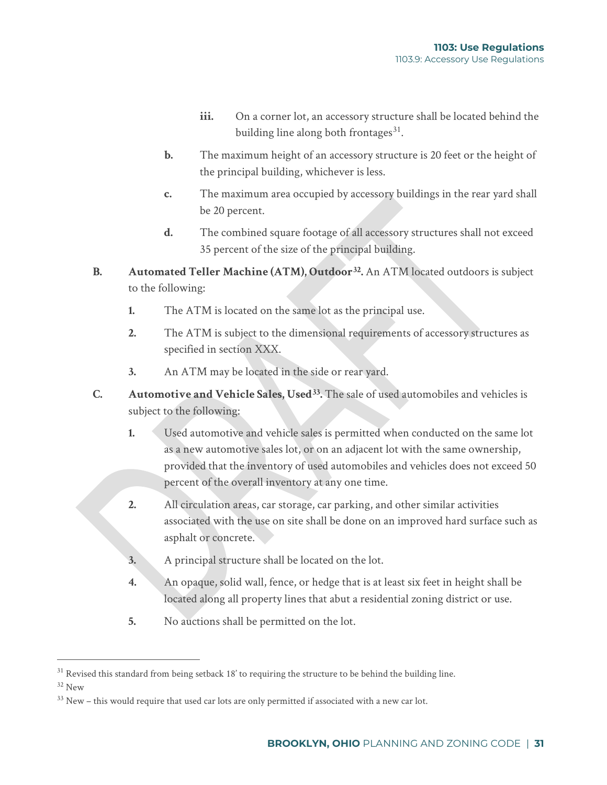- iii. On a corner lot, an accessory structure shall be located behind the building line along both frontages $31$ .
- **b.** The maximum height of an accessory structure is 20 feet or the height of the principal building, whichever is less.
- **c.** The maximum area occupied by accessory buildings in the rear yard shall be 20 percent.
- **d.** The combined square footage of all accessory structures shall not exceed 35 percent of the size of the principal building.
- **B. Automated Teller Machine (ATM), Outdoor[32](#page-27-1).** An ATM located outdoors is subject to the following:
	- **1.** The ATM is located on the same lot as the principal use.
	- **2.** The ATM is subject to the dimensional requirements of accessory structures as specified in section XXX.
	- **3.** An ATM may be located in the side or rear yard.
- **C. Automotive and Vehicle Sales, Used[33](#page-27-2).** The sale of used automobiles and vehicles is subject to the following:
	- **1.** Used automotive and vehicle sales is permitted when conducted on the same lot as a new automotive sales lot, or on an adjacent lot with the same ownership, provided that the inventory of used automobiles and vehicles does not exceed 50 percent of the overall inventory at any one time.
	- **2.** All circulation areas, car storage, car parking, and other similar activities associated with the use on site shall be done on an improved hard surface such as asphalt or concrete.
	- **3.** A principal structure shall be located on the lot.
	- **4.** An opaque, solid wall, fence, or hedge that is at least six feet in height shall be located along all property lines that abut a residential zoning district or use.
	- **5.** No auctions shall be permitted on the lot.

<span id="page-27-0"></span><sup>&</sup>lt;sup>31</sup> Revised this standard from being setback 18' to requiring the structure to be behind the building line.

<span id="page-27-1"></span><sup>32</sup> New

<span id="page-27-2"></span> $33$  New – this would require that used car lots are only permitted if associated with a new car lot.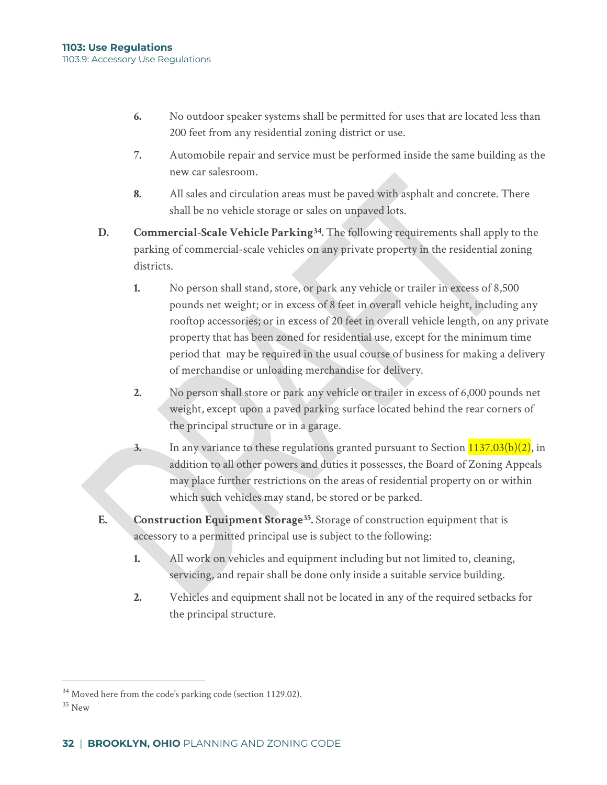- **6.** No outdoor speaker systems shall be permitted for uses that are located less than 200 feet from any residential zoning district or use.
- **7.** Automobile repair and service must be performed inside the same building as the new car salesroom.
- **8.** All sales and circulation areas must be paved with asphalt and concrete. There shall be no vehicle storage or sales on unpaved lots.
- **D. Commercial-Scale Vehicle Parkin[g34](#page-28-0).** The following requirements shall apply to the parking of commercial-scale vehicles on any private property in the residential zoning districts.
	- **1.** No person shall stand, store, or park any vehicle or trailer in excess of 8,500 pounds net weight; or in excess of 8 feet in overall vehicle height, including any rooftop accessories; or in excess of 20 feet in overall vehicle length, on any private property that has been zoned for residential use, except for the minimum time period that may be required in the usual course of business for making a delivery of merchandise or unloading merchandise for delivery.
	- **2.** No person shall store or park any vehicle or trailer in excess of 6,000 pounds net weight, except upon a paved parking surface located behind the rear corners of the principal structure or in a garage.
	- **3.** In any variance to these regulations granted pursuant to Section  $1137.03(b)(2)$  $1137.03(b)(2)$ , in addition to all other powers and duties it possesses, the Board of Zoning Appeals may place further restrictions on the areas of residential property on or within which such vehicles may stand, be stored or be parked.
- **E. Construction Equipment Storage[35.](#page-28-1)** Storage of construction equipment that is accessory to a permitted principal use is subject to the following:
	- **1.** All work on vehicles and equipment including but not limited to, cleaning, servicing, and repair shall be done only inside a suitable service building.
	- **2.** Vehicles and equipment shall not be located in any of the required setbacks for the principal structure.

<span id="page-28-0"></span><sup>&</sup>lt;sup>34</sup> Moved here from the code's parking code (section 1129.02).

<span id="page-28-1"></span><sup>&</sup>lt;sup>35</sup> New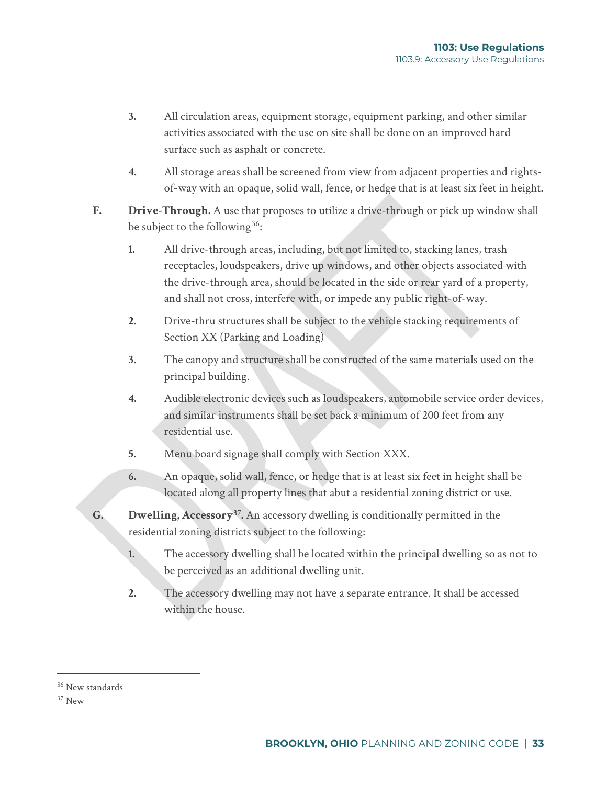- **3.** All circulation areas, equipment storage, equipment parking, and other similar activities associated with the use on site shall be done on an improved hard surface such as asphalt or concrete.
- **4.** All storage areas shall be screened from view from adjacent properties and rightsof-way with an opaque, solid wall, fence, or hedge that is at least six feet in height.
- **F. Drive-Through.** A use that proposes to utilize a drive-through or pick up window shall be subject to the following  $36$ :
	- **1.** All drive-through areas, including, but not limited to, stacking lanes, trash receptacles, loudspeakers, drive up windows, and other objects associated with the drive-through area, should be located in the side or rear yard of a property, and shall not cross, interfere with, or impede any public right-of-way.
	- **2.** Drive-thru structures shall be subject to the vehicle stacking requirements of Section XX (Parking and Loading)
	- **3.** The canopy and structure shall be constructed of the same materials used on the principal building.
	- **4.** Audible electronic devices such as loudspeakers, automobile service order devices, and similar instruments shall be set back a minimum of 200 feet from any residential use.
	- **5.** Menu board signage shall comply with Section XXX.
	- **6.** An opaque, solid wall, fence, or hedge that is at least six feet in height shall be located along all property lines that abut a residential zoning district or use.
- **G. Dwelling, Accessory[37](#page-29-1).** An accessory dwelling is conditionally permitted in the residential zoning districts subject to the following:
	- **1.** The accessory dwelling shall be located within the principal dwelling so as not to be perceived as an additional dwelling unit.
	- **2.** The accessory dwelling may not have a separate entrance. It shall be accessed within the house.

<span id="page-29-0"></span><sup>&</sup>lt;sup>36</sup> New standards

<span id="page-29-1"></span> $37$  New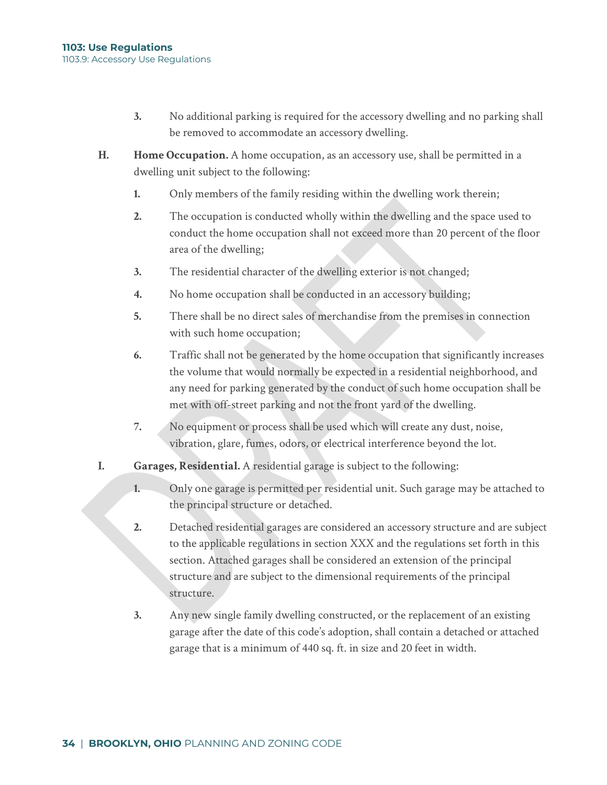- **3.** No additional parking is required for the accessory dwelling and no parking shall be removed to accommodate an accessory dwelling.
- **H. Home Occupation.** A home occupation, as an accessory use, shall be permitted in a dwelling unit subject to the following:
	- **1.** Only members of the family residing within the dwelling work therein;
	- **2.** The occupation is conducted wholly within the dwelling and the space used to conduct the home occupation shall not exceed more than 20 percent of the floor area of the dwelling;
	- **3.** The residential character of the dwelling exterior is not changed;
	- **4.** No home occupation shall be conducted in an accessory building;
	- **5.** There shall be no direct sales of merchandise from the premises in connection with such home occupation;
	- **6.** Traffic shall not be generated by the home occupation that significantly increases the volume that would normally be expected in a residential neighborhood, and any need for parking generated by the conduct of such home occupation shall be met with off-street parking and not the front yard of the dwelling.
	- **7.** No equipment or process shall be used which will create any dust, noise, vibration, glare, fumes, odors, or electrical interference beyond the lot.
- **I. Garages, Residential.** A residential garage is subject to the following:
	- **1.** Only one garage is permitted per residential unit. Such garage may be attached to the principal structure or detached.
	- **2.** Detached residential garages are considered an accessory structure and are subject to the applicable regulations in section XXX and the regulations set forth in this section. Attached garages shall be considered an extension of the principal structure and are subject to the dimensional requirements of the principal structure.
	- **3.** Any new single family dwelling constructed, or the replacement of an existing garage after the date of this code's adoption, shall contain a detached or attached garage that is a minimum of 440 sq. ft. in size and 20 feet in width.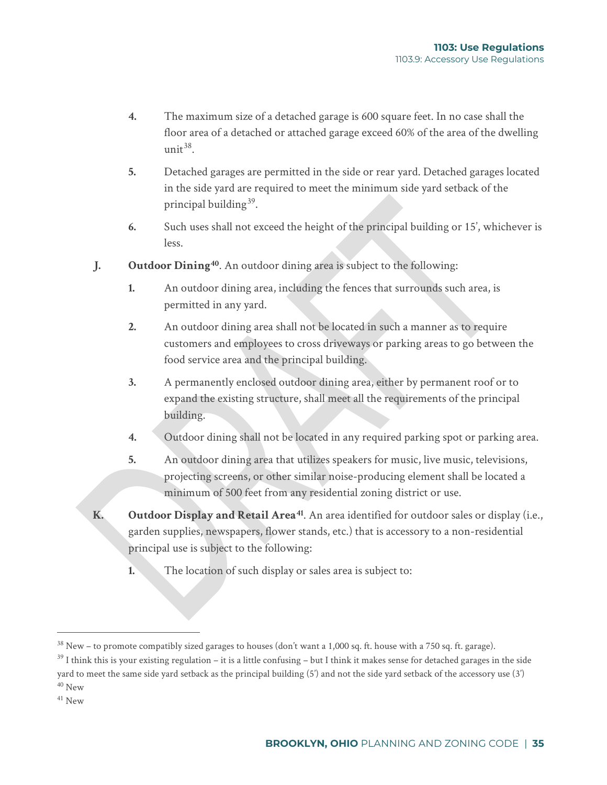- **4.** The maximum size of a detached garage is 600 square feet. In no case shall the floor area of a detached or attached garage exceed 60% of the area of the dwelling unit  $38$ .
- **5.** Detached garages are permitted in the side or rear yard. Detached garages located in the side yard are required to meet the minimum side yard setback of the principal building $39$ .
- **6.** Such uses shall not exceed the height of the principal building or 15', whichever is less.
- **J. Outdoor Dining[40](#page-31-2)**. An outdoor dining area is subject to the following:
	- **1.** An outdoor dining area, including the fences that surrounds such area, is permitted in any yard.
	- **2.** An outdoor dining area shall not be located in such a manner as to require customers and employees to cross driveways or parking areas to go between the food service area and the principal building.
	- **3.** A permanently enclosed outdoor dining area, either by permanent roof or to expand the existing structure, shall meet all the requirements of the principal building.
	- **4.** Outdoor dining shall not be located in any required parking spot or parking area.
	- **5.** An outdoor dining area that utilizes speakers for music, live music, televisions, projecting screens, or other similar noise-producing element shall be located a minimum of 500 feet from any residential zoning district or use.
- **K. Outdoor Display and Retail Area[41](#page-31-3)**. An area identified for outdoor sales or display (i.e., garden supplies, newspapers, flower stands, etc.) that is accessory to a non-residential principal use is subject to the following:
	- **1.** The location of such display or sales area is subject to:

<span id="page-31-0"></span> $38$  New – to promote compatibly sized garages to houses (don't want a 1,000 sq. ft. house with a 750 sq. ft. garage).

<span id="page-31-1"></span> $39$  I think this is your existing regulation – it is a little confusing – but I think it makes sense for detached garages in the side yard to meet the same side yard setback as the principal building (5') and not the side yard setback of the accessory use (3') <sup>40</sup> New

<span id="page-31-3"></span><span id="page-31-2"></span> $41$  New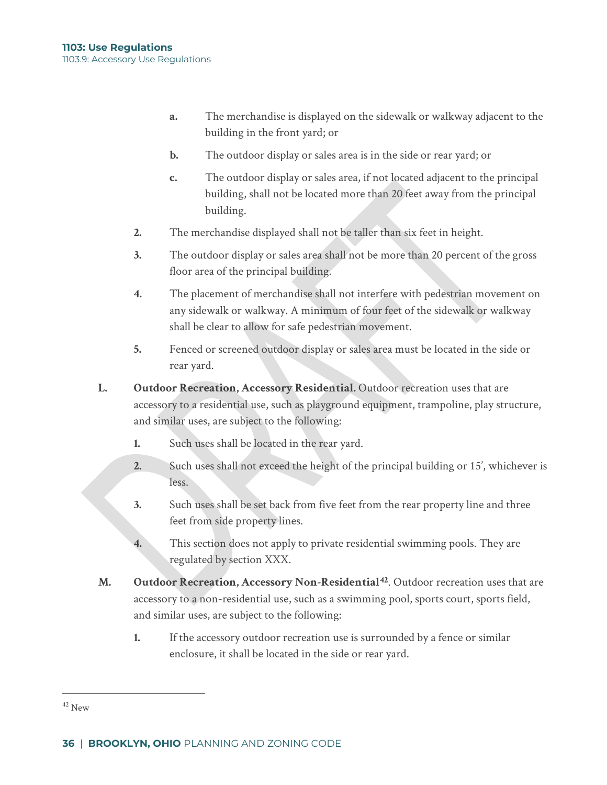- **a.** The merchandise is displayed on the sidewalk or walkway adjacent to the building in the front yard; or
- **b.** The outdoor display or sales area is in the side or rear yard; or
- **c.** The outdoor display or sales area, if not located adjacent to the principal building, shall not be located more than 20 feet away from the principal building.
- **2.** The merchandise displayed shall not be taller than six feet in height.
- **3.** The outdoor display or sales area shall not be more than 20 percent of the gross floor area of the principal building.
- **4.** The placement of merchandise shall not interfere with pedestrian movement on any sidewalk or walkway. A minimum of four feet of the sidewalk or walkway shall be clear to allow for safe pedestrian movement.
- **5.** Fenced or screened outdoor display or sales area must be located in the side or rear yard.
- **L. Outdoor Recreation, Accessory Residential.** Outdoor recreation uses that are accessory to a residential use, such as playground equipment, trampoline, play structure, and similar uses, are subject to the following:
	- **1.** Such uses shall be located in the rear yard.
	- **2.** Such uses shall not exceed the height of the principal building or 15', whichever is less.
	- **3.** Such uses shall be set back from five feet from the rear property line and three feet from side property lines.
	- **4.** This section does not apply to private residential swimming pools. They are regulated by section XXX.
- **M. Outdoor Recreation, Accessory Non-Residential[42](#page-32-0)**. Outdoor recreation uses that are accessory to a non-residential use, such as a swimming pool, sports court, sports field, and similar uses, are subject to the following:
	- **1.** If the accessory outdoor recreation use is surrounded by a fence or similar enclosure, it shall be located in the side or rear yard.

<span id="page-32-0"></span><sup>42</sup> New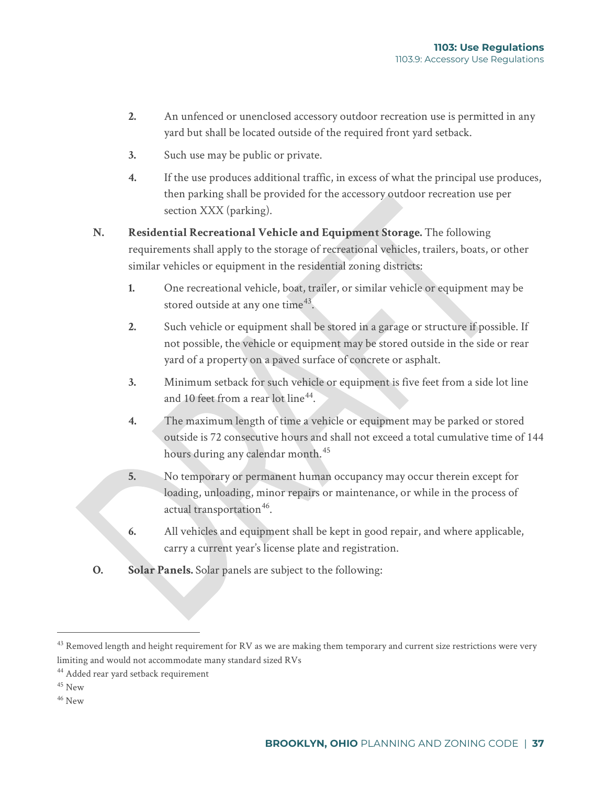- **2.** An unfenced or unenclosed accessory outdoor recreation use is permitted in any yard but shall be located outside of the required front yard setback.
- **3.** Such use may be public or private.
- **4.** If the use produces additional traffic, in excess of what the principal use produces, then parking shall be provided for the accessory outdoor recreation use per section XXX (parking).
- **N. Residential Recreational Vehicle and Equipment Storage.** The following requirements shall apply to the storage of recreational vehicles, trailers, boats, or other similar vehicles or equipment in the residential zoning districts:
	- **1.** One recreational vehicle, boat, trailer, or similar vehicle or equipment may be stored outside at any one time<sup>[43](#page-33-0)</sup>.
	- **2.** Such vehicle or equipment shall be stored in a garage or structure if possible. If not possible, the vehicle or equipment may be stored outside in the side or rear yard of a property on a paved surface of concrete or asphalt.
	- **3.** Minimum setback for such vehicle or equipment is five feet from a side lot line and 10 feet from a rear lot line  $44$ .
	- **4.** The maximum length of time a vehicle or equipment may be parked or stored outside is 72 consecutive hours and shall not exceed a total cumulative time of 144 hours during any calendar month.<sup>[45](#page-33-2)</sup>
	- **5.** No temporary or permanent human occupancy may occur therein except for loading, unloading, minor repairs or maintenance, or while in the process of actual transportation<sup>[46](#page-33-3)</sup>.
	- **6.** All vehicles and equipment shall be kept in good repair, and where applicable, carry a current year's license plate and registration.
- **O. Solar Panels.** Solar panels are subject to the following:

<span id="page-33-3"></span> $46$  New

<span id="page-33-0"></span> $43$  Removed length and height requirement for RV as we are making them temporary and current size restrictions were very limiting and would not accommodate many standard sized RVs

<span id="page-33-1"></span><sup>44</sup> Added rear yard setback requirement

<span id="page-33-2"></span><sup>45</sup> New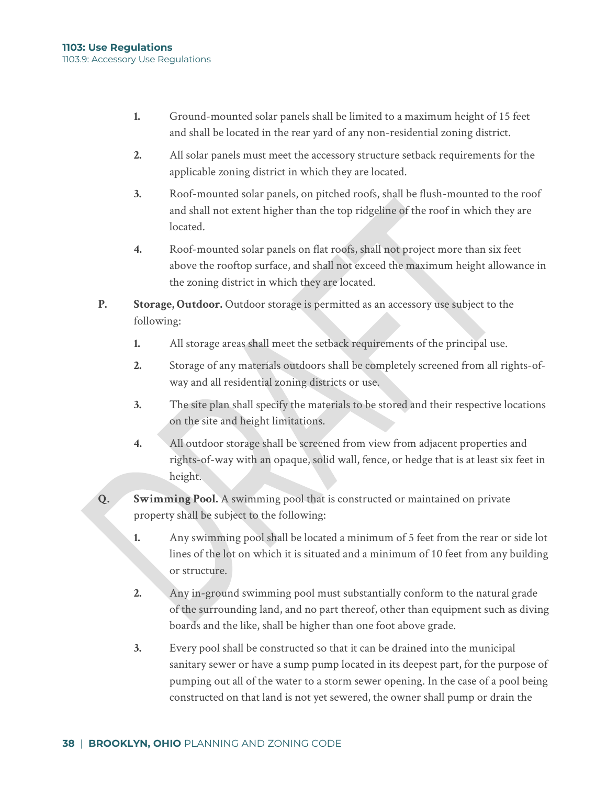- **1.** Ground-mounted solar panels shall be limited to a maximum height of 15 feet and shall be located in the rear yard of any non-residential zoning district.
- **2.** All solar panels must meet the accessory structure setback requirements for the applicable zoning district in which they are located.
- **3.** Roof-mounted solar panels, on pitched roofs, shall be flush-mounted to the roof and shall not extent higher than the top ridgeline of the roof in which they are located.
- **4.** Roof-mounted solar panels on flat roofs, shall not project more than six feet above the rooftop surface, and shall not exceed the maximum height allowance in the zoning district in which they are located.
- **P. Storage, Outdoor.** Outdoor storage is permitted as an accessory use subject to the following:
	- **1.** All storage areas shall meet the setback requirements of the principal use.
	- **2.** Storage of any materials outdoors shall be completely screened from all rights-ofway and all residential zoning districts or use.
	- **3.** The site plan shall specify the materials to be stored and their respective locations on the site and height limitations.
	- **4.** All outdoor storage shall be screened from view from adjacent properties and rights-of-way with an opaque, solid wall, fence, or hedge that is at least six feet in height.
- **Q. Swimming Pool.** A swimming pool that is constructed or maintained on private property shall be subject to the following:
	- **1.** Any swimming pool shall be located a minimum of 5 feet from the rear or side lot lines of the lot on which it is situated and a minimum of 10 feet from any building or structure.
	- **2.** Any in-ground swimming pool must substantially conform to the natural grade of the surrounding land, and no part thereof, other than equipment such as diving boards and the like, shall be higher than one foot above grade.
	- **3.** Every pool shall be constructed so that it can be drained into the municipal sanitary sewer or have a sump pump located in its deepest part, for the purpose of pumping out all of the water to a storm sewer opening. In the case of a pool being constructed on that land is not yet sewered, the owner shall pump or drain the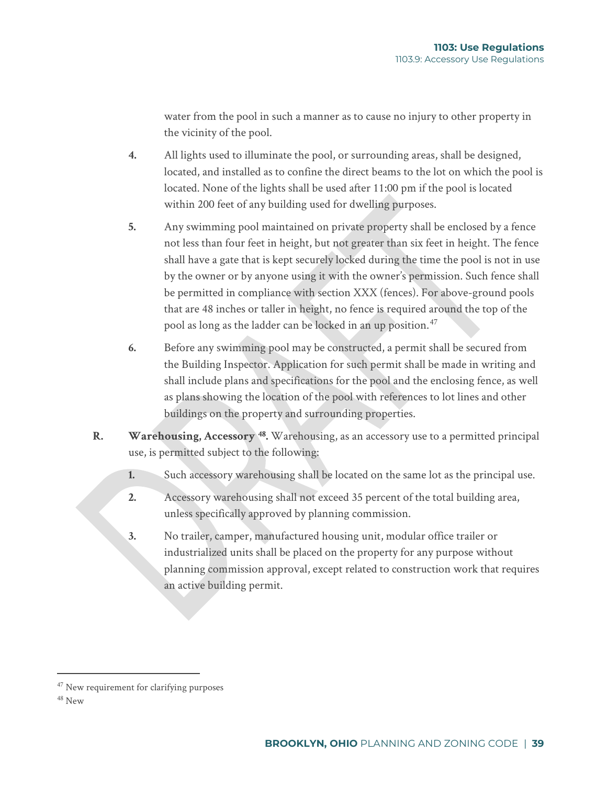water from the pool in such a manner as to cause no injury to other property in the vicinity of the pool.

- **4.** All lights used to illuminate the pool, or surrounding areas, shall be designed, located, and installed as to confine the direct beams to the lot on which the pool is located. None of the lights shall be used after 11:00 pm if the pool is located within 200 feet of any building used for dwelling purposes.
- **5.** Any swimming pool maintained on private property shall be enclosed by a fence not less than four feet in height, but not greater than six feet in height. The fence shall have a gate that is kept securely locked during the time the pool is not in use by the owner or by anyone using it with the owner's permission. Such fence shall be permitted in compliance with section XXX (fences). For above-ground pools that are 48 inches or taller in height, no fence is required around the top of the pool as long as the ladder can be locked in an up position.<sup>[47](#page-35-0)</sup>
- **6.** Before any swimming pool may be constructed, a permit shall be secured from the Building Inspector. Application for such permit shall be made in writing and shall include plans and specifications for the pool and the enclosing fence, as well as plans showing the location of the pool with references to lot lines and other buildings on the property and surrounding properties.
- **R. Warehousing, Accessory [48](#page-35-1).** Warehousing, as an accessory use to a permitted principal use, is permitted subject to the following:
	- **1.** Such accessory warehousing shall be located on the same lot as the principal use.
	- **2.** Accessory warehousing shall not exceed 35 percent of the total building area, unless specifically approved by planning commission.
	- **3.** No trailer, camper, manufactured housing unit, modular office trailer or industrialized units shall be placed on the property for any purpose without planning commission approval, except related to construction work that requires an active building permit.

<span id="page-35-0"></span><sup>&</sup>lt;sup>47</sup> New requirement for clarifying purposes

<span id="page-35-1"></span><sup>48</sup> New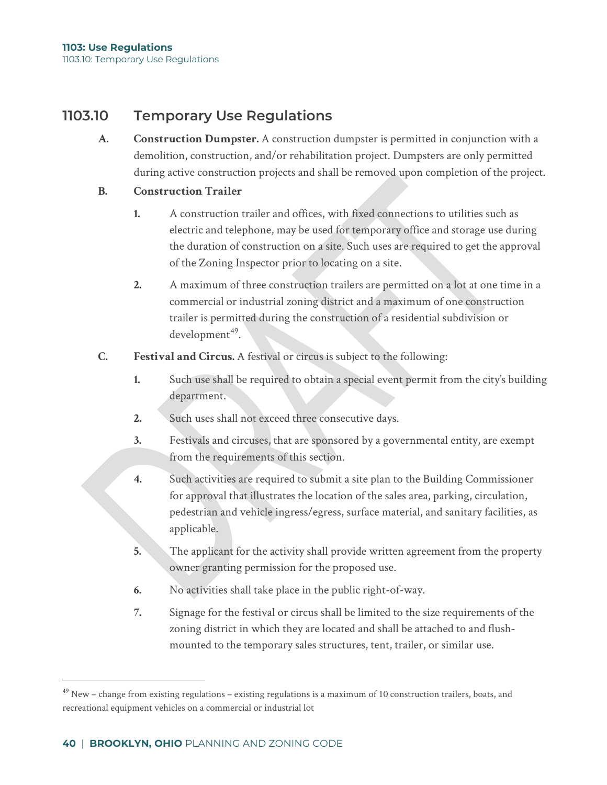## **1103.10 Temporary Use Regulations**

**A. Construction Dumpster.** A construction dumpster is permitted in conjunction with a demolition, construction, and/or rehabilitation project. Dumpsters are only permitted during active construction projects and shall be removed upon completion of the project.

### **B. Construction Trailer**

- **1.** A construction trailer and offices, with fixed connections to utilities such as electric and telephone, may be used for temporary office and storage use during the duration of construction on a site. Such uses are required to get the approval of the Zoning Inspector prior to locating on a site.
- **2.** A maximum of three construction trailers are permitted on a lot at one time in a commercial or industrial zoning district and a maximum of one construction trailer is permitted during the construction of a residential subdivision or  $d$ evelopment<sup>[49](#page-36-0)</sup>.
- **C. Festival and Circus.** A festival or circus is subject to the following:
	- **1.** Such use shall be required to obtain a special event permit from the city's building department.
	- **2.** Such uses shall not exceed three consecutive days.
	- **3.** Festivals and circuses, that are sponsored by a governmental entity, are exempt from the requirements of this section.
	- **4.** Such activities are required to submit a site plan to the Building Commissioner for approval that illustrates the location of the sales area, parking, circulation, pedestrian and vehicle ingress/egress, surface material, and sanitary facilities, as applicable.
	- **5.** The applicant for the activity shall provide written agreement from the property owner granting permission for the proposed use.
	- **6.** No activities shall take place in the public right-of-way.
	- **7.** Signage for the festival or circus shall be limited to the size requirements of the zoning district in which they are located and shall be attached to and flushmounted to the temporary sales structures, tent, trailer, or similar use.

<span id="page-36-0"></span> $49$  New – change from existing regulations – existing regulations is a maximum of 10 construction trailers, boats, and recreational equipment vehicles on a commercial or industrial lot